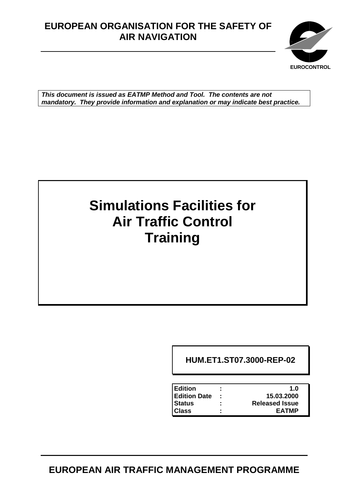# **EUROPEAN ORGANISATION FOR THE SAFETY OF AIR NAVIGATION**



*This document is issued as EATMP Method and Tool. The contents are not mandatory. They provide information and explanation or may indicate best practice.*

# **Simulations Facilities for Air Traffic Control Training**

**HUM.ET1.ST07.3000-REP-02**

| <b>Edition</b>      |   | 1.0                   |
|---------------------|---|-----------------------|
| <b>Edition Date</b> | ÷ | 15.03.2000            |
| <b>Status</b>       |   | <b>Released Issue</b> |
| <b>Class</b>        | ٠ | <b>EATMP</b>          |

**EUROPEAN AIR TRAFFIC MANAGEMENT PROGRAMME**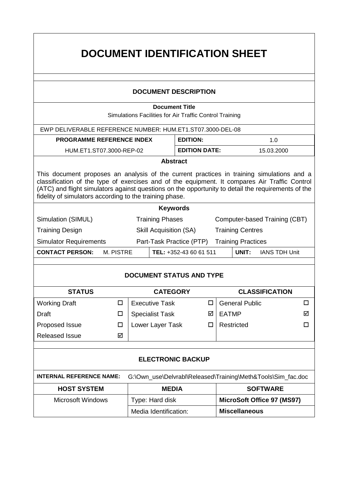| <b>DOCUMENT IDENTIFICATION SHEET</b>                                                                                                                                                                                                                                                                                                                                           |                                                                                  |                               |                                 |              |                           |                                                              |  |  |
|--------------------------------------------------------------------------------------------------------------------------------------------------------------------------------------------------------------------------------------------------------------------------------------------------------------------------------------------------------------------------------|----------------------------------------------------------------------------------|-------------------------------|---------------------------------|--------------|---------------------------|--------------------------------------------------------------|--|--|
|                                                                                                                                                                                                                                                                                                                                                                                | <b>DOCUMENT DESCRIPTION</b>                                                      |                               |                                 |              |                           |                                                              |  |  |
|                                                                                                                                                                                                                                                                                                                                                                                | <b>Document Title</b><br>Simulations Facilities for Air Traffic Control Training |                               |                                 |              |                           |                                                              |  |  |
| EWP DELIVERABLE REFERENCE NUMBER: HUM.ET1.ST07.3000-DEL-08                                                                                                                                                                                                                                                                                                                     |                                                                                  |                               |                                 |              |                           |                                                              |  |  |
| <b>PROGRAMME REFERENCE INDEX</b>                                                                                                                                                                                                                                                                                                                                               |                                                                                  |                               | <b>EDITION:</b>                 |              |                           | 1.0                                                          |  |  |
| HUM.ET1.ST07.3000-REP-02                                                                                                                                                                                                                                                                                                                                                       |                                                                                  |                               | <b>EDITION DATE:</b>            |              |                           | 15.03.2000                                                   |  |  |
| <b>Abstract</b><br>This document proposes an analysis of the current practices in training simulations and a<br>classification of the type of exercises and of the equipment. It compares Air Traffic Control<br>(ATC) and flight simulators against questions on the opportunity to detail the requirements of the<br>fidelity of simulators according to the training phase. |                                                                                  |                               |                                 |              |                           |                                                              |  |  |
|                                                                                                                                                                                                                                                                                                                                                                                |                                                                                  | <b>Keywords</b>               |                                 |              |                           |                                                              |  |  |
| Simulation (SIMUL)                                                                                                                                                                                                                                                                                                                                                             |                                                                                  | <b>Training Phases</b>        |                                 |              |                           | Computer-based Training (CBT)                                |  |  |
| <b>Training Design</b>                                                                                                                                                                                                                                                                                                                                                         |                                                                                  | <b>Skill Acquisition (SA)</b> |                                 |              | <b>Training Centres</b>   |                                                              |  |  |
| <b>Simulator Requirements</b>                                                                                                                                                                                                                                                                                                                                                  |                                                                                  | Part-Task Practice (PTP)      |                                 |              | <b>Training Practices</b> |                                                              |  |  |
| <b>CONTACT PERSON:</b><br>M. PISTRE                                                                                                                                                                                                                                                                                                                                            |                                                                                  |                               | TEL: +352-43 60 61 511          |              | UNIT:                     | <b>IANS TDH Unit</b>                                         |  |  |
|                                                                                                                                                                                                                                                                                                                                                                                |                                                                                  |                               | <b>DOCUMENT STATUS AND TYPE</b> |              |                           |                                                              |  |  |
| <b>STATUS</b>                                                                                                                                                                                                                                                                                                                                                                  |                                                                                  | <b>CATEGORY</b>               |                                 |              |                           | <b>CLASSIFICATION</b>                                        |  |  |
| <b>Working Draft</b>                                                                                                                                                                                                                                                                                                                                                           | □                                                                                | <b>Executive Task</b>         | ப                               |              | <b>General Public</b>     | □                                                            |  |  |
| <b>Draft</b>                                                                                                                                                                                                                                                                                                                                                                   | ப                                                                                | <b>Specialist Task</b>        | М                               | <b>EATMP</b> |                           | ☑                                                            |  |  |
| Proposed Issue                                                                                                                                                                                                                                                                                                                                                                 | □                                                                                | Lower Layer Task              | ப                               |              | Restricted                | □                                                            |  |  |
| <b>Released Issue</b>                                                                                                                                                                                                                                                                                                                                                          | ☑                                                                                |                               |                                 |              |                           |                                                              |  |  |
| <b>ELECTRONIC BACKUP</b>                                                                                                                                                                                                                                                                                                                                                       |                                                                                  |                               |                                 |              |                           |                                                              |  |  |
| <b>INTERNAL REFERENCE NAME:</b>                                                                                                                                                                                                                                                                                                                                                |                                                                                  |                               |                                 |              |                           | G:\Own_use\Delvrabl\Released\Training\Meth&Tools\Sim_fac.doc |  |  |
| <b>HOST SYSTEM</b>                                                                                                                                                                                                                                                                                                                                                             |                                                                                  | <b>MEDIA</b>                  |                                 |              |                           | <b>SOFTWARE</b>                                              |  |  |
| <b>Microsoft Windows</b>                                                                                                                                                                                                                                                                                                                                                       |                                                                                  | Type: Hard disk               |                                 |              |                           | MicroSoft Office 97 (MS97)                                   |  |  |
| <b>Miscellaneous</b><br>Media Identification:                                                                                                                                                                                                                                                                                                                                  |                                                                                  |                               |                                 |              |                           |                                                              |  |  |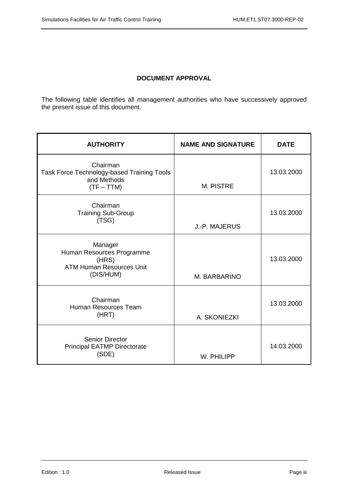## **DOCUMENT APPROVAL**

The following table identifies all management authorities who have successively approved the present issue of this document.

| <b>AUTHORITY</b>                                                                              | <b>NAME AND SIGNATURE</b> | <b>DATE</b> |
|-----------------------------------------------------------------------------------------------|---------------------------|-------------|
| Chairman<br>Task Force Technology-based Training Tools<br>and Methods<br>$(TF - TTM)$         | M. PISTRE                 | 13.03.2000  |
| Chairman<br><b>Training Sub-Group</b><br>(TSG)                                                | J.-P. MAJERUS             | 13.03.2000  |
| Manager<br>Human Resources Programme<br>(HRS)<br><b>ATM Human Resources Unit</b><br>(DIS/HUM) | M. BARBARINO              | 13.03.2000  |
| Chairman<br><b>Human Resources Team</b><br>(HRT)                                              | A. SKONIEZKI              | 13.03.2000  |
| <b>Senior Director</b><br><b>Principal EATMP Directorate</b><br>(SDE)                         | W. PHILIPP                | 14.03.2000  |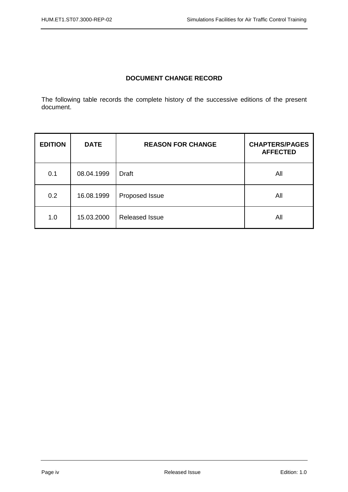# **DOCUMENT CHANGE RECORD**

The following table records the complete history of the successive editions of the present document.

| <b>EDITION</b> | <b>DATE</b> | <b>REASON FOR CHANGE</b> | <b>CHAPTERS/PAGES</b><br><b>AFFECTED</b> |
|----------------|-------------|--------------------------|------------------------------------------|
| 0.1            | 08.04.1999  | Draft                    | All                                      |
| 0.2            | 16.08.1999  | Proposed Issue           | All                                      |
| 1.0            | 15.03.2000  | <b>Released Issue</b>    | All                                      |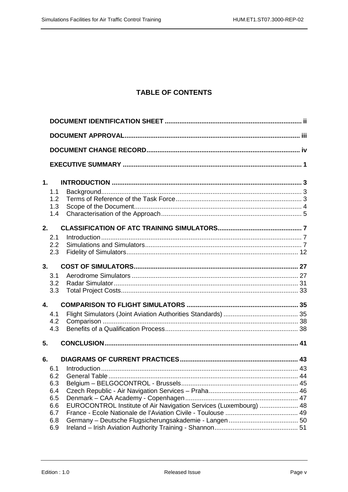# **TABLE OF CONTENTS**

| 1. |                          |                                                                   |  |  |  |  |  |  |
|----|--------------------------|-------------------------------------------------------------------|--|--|--|--|--|--|
|    | 1.1<br>1.2<br>1.3<br>1.4 |                                                                   |  |  |  |  |  |  |
| 2. |                          |                                                                   |  |  |  |  |  |  |
|    | 2.1<br>2.2<br>2.3        |                                                                   |  |  |  |  |  |  |
| 3. |                          |                                                                   |  |  |  |  |  |  |
|    | 3.1<br>3.2<br>3.3        |                                                                   |  |  |  |  |  |  |
| 4. |                          |                                                                   |  |  |  |  |  |  |
|    | 4.1<br>4.2<br>4.3        |                                                                   |  |  |  |  |  |  |
| 5. |                          |                                                                   |  |  |  |  |  |  |
| 6. |                          |                                                                   |  |  |  |  |  |  |
|    | 6.1                      |                                                                   |  |  |  |  |  |  |
|    | 6.2<br>6.3               |                                                                   |  |  |  |  |  |  |
|    | 6.4                      |                                                                   |  |  |  |  |  |  |
|    | 6.5                      |                                                                   |  |  |  |  |  |  |
|    | 6.6<br>6.7               | EUROCONTROL Institute of Air Navigation Services (Luxembourg)  48 |  |  |  |  |  |  |
|    | 6.8                      |                                                                   |  |  |  |  |  |  |
|    | 6.9                      |                                                                   |  |  |  |  |  |  |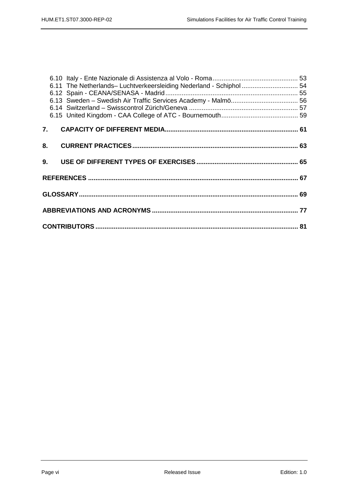| 6.11 The Netherlands- Luchtverkeersleiding Nederland - Schiphol  54 |  |
|---------------------------------------------------------------------|--|
|                                                                     |  |
|                                                                     |  |
|                                                                     |  |
|                                                                     |  |
|                                                                     |  |
|                                                                     |  |
|                                                                     |  |
|                                                                     |  |
|                                                                     |  |
|                                                                     |  |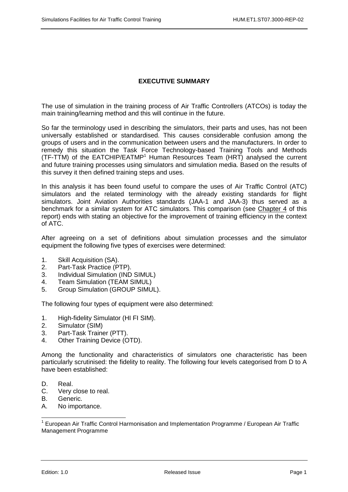## **EXECUTIVE SUMMARY**

The use of simulation in the training process of Air Traffic Controllers (ATCOs) is today the main training/learning method and this will continue in the future.

So far the terminology used in describing the simulators, their parts and uses, has not been universally established or standardised. This causes considerable confusion among the groups of users and in the communication between users and the manufacturers. In order to remedy this situation the Task Force Technology-based Training Tools and Methods ( $TF$ -TTM) of the EATCHIP/EATMP<sup>1</sup> Human Resources Team (HRT) analysed the current and future training processes using simulators and simulation media. Based on the results of this survey it then defined training steps and uses.

In this analysis it has been found useful to compare the uses of Air Traffic Control (ATC) simulators and the related terminology with the already existing standards for flight simulators. Joint Aviation Authorities standards (JAA-1 and JAA-3) thus served as a benchmark for a similar system for ATC simulators. This comparison (see Chapter 4 of this report) ends with stating an objective for the improvement of training efficiency in the context of ATC.

After agreeing on a set of definitions about simulation processes and the simulator equipment the following five types of exercises were determined:

- 1. Skill Acquisition (SA).
- 2. Part-Task Practice (PTP).
- 3. Individual Simulation (IND SIMUL)
- 4. Team Simulation (TEAM SIMUL)
- 5. Group Simulation (GROUP SIMUL).

The following four types of equipment were also determined:

- 1. High-fidelity Simulator (HI FI SIM).
- 2. Simulator (SIM)
- 3. Part-Task Trainer (PTT).
- 4. Other Training Device (OTD).

Among the functionality and characteristics of simulators one characteristic has been particularly scrutinised: the fidelity to reality. The following four levels categorised from D to A have been established:

- D. Real.
- C. Very close to real.
- B. Generic.
- A. No importance.

<sup>————————————————————&</sup>lt;br><sup>1</sup> European Air Traffic Control Harmonisation and Implementation Programme / European Air Traffic Management Programme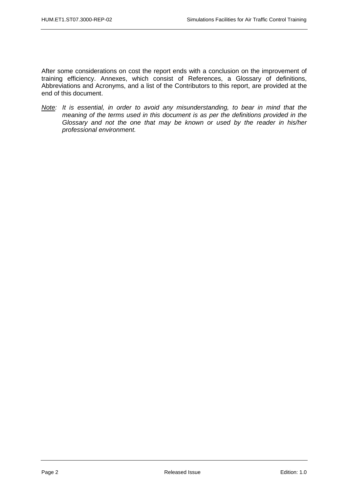After some considerations on cost the report ends with a conclusion on the improvement of training efficiency. Annexes, which consist of References, a Glossary of definitions, Abbreviations and Acronyms, and a list of the Contributors to this report, are provided at the end of this document.

*Note: It is essential, in order to avoid any misunderstanding, to bear in mind that the meaning of the terms used in this document is as per the definitions provided in the Glossary and not the one that may be known or used by the reader in his/her professional environment.*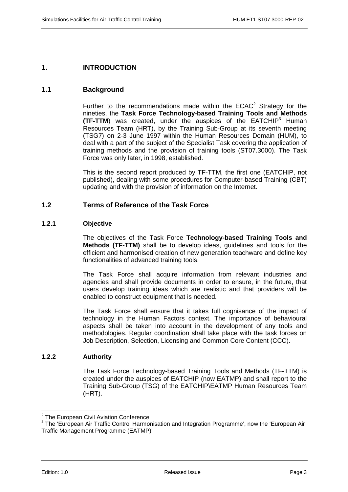## **1. INTRODUCTION**

## **1.1 Background**

Further to the recommendations made within the  $ECAC<sup>2</sup>$  Strategy for the nineties, the **Task Force Technology-based Training Tools and Methods (TF-TTM)** was created, under the auspices of the EATCHIP<sup>3</sup> Human Resources Team (HRT), by the Training Sub-Group at its seventh meeting (TSG7) on 2-3 June 1997 within the Human Resources Domain (HUM), to deal with a part of the subject of the Specialist Task covering the application of training methods and the provision of training tools (ST07.3000). The Task Force was only later, in 1998, established.

This is the second report produced by TF-TTM, the first one (EATCHIP, not published), dealing with some procedures for Computer-based Training (CBT) updating and with the provision of information on the Internet.

## **1.2 Terms of Reference of the Task Force**

#### **1.2.1 Objective**

The objectives of the Task Force **Technology-based Training Tools and Methods (TF-TTM)** shall be to develop ideas, guidelines and tools for the efficient and harmonised creation of new generation teachware and define key functionalities of advanced training tools.

The Task Force shall acquire information from relevant industries and agencies and shall provide documents in order to ensure, in the future, that users develop training ideas which are realistic and that providers will be enabled to construct equipment that is needed.

The Task Force shall ensure that it takes full cognisance of the impact of technology in the Human Factors context. The importance of behavioural aspects shall be taken into account in the development of any tools and methodologies. Regular coordination shall take place with the task forces on Job Description, Selection, Licensing and Common Core Content (CCC).

#### **1.2.2 Authority**

The Task Force Technology-based Training Tools and Methods (TF-TTM) is created under the auspices of EATCHIP (now EATMP) and shall report to the Training Sub-Group (TSG) of the EATCHIP\EATMP Human Resources Team (HRT).

 2 The European Civil Aviation Conference

 $3$  The 'European Air Traffic Control Harmonisation and Integration Programme', now the 'European Air Traffic Management Programme (EATMP)'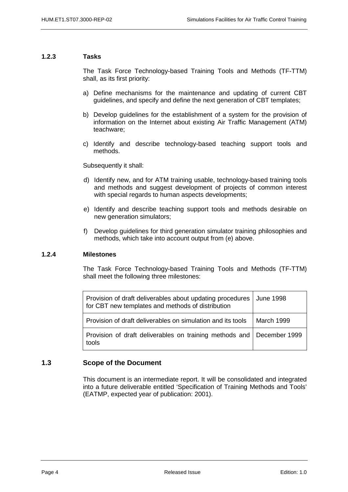## **1.2.3 Tasks**

The Task Force Technology-based Training Tools and Methods (TF-TTM) shall, as its first priority:

- a) Define mechanisms for the maintenance and updating of current CBT guidelines, and specify and define the next generation of CBT templates;
- b) Develop guidelines for the establishment of a system for the provision of information on the Internet about existing Air Traffic Management (ATM) teachware;
- c) Identify and describe technology-based teaching support tools and methods.

#### Subsequently it shall:

- d) Identify new, and for ATM training usable, technology-based training tools and methods and suggest development of projects of common interest with special regards to human aspects developments;
- e) Identify and describe teaching support tools and methods desirable on new generation simulators;
- f) Develop guidelines for third generation simulator training philosophies and methods, which take into account output from (e) above.

#### **1.2.4 Milestones**

The Task Force Technology-based Training Tools and Methods (TF-TTM) shall meet the following three milestones:

| Provision of draft deliverables about updating procedures<br>for CBT new templates and methods of distribution | June 1998  |
|----------------------------------------------------------------------------------------------------------------|------------|
| Provision of draft deliverables on simulation and its tools                                                    | March 1999 |
| Provision of draft deliverables on training methods and December 1999<br>tools                                 |            |

## **1.3 Scope of the Document**

This document is an intermediate report. It will be consolidated and integrated into a future deliverable entitled 'Specification of Training Methods and Tools' (EATMP, expected year of publication: 2001).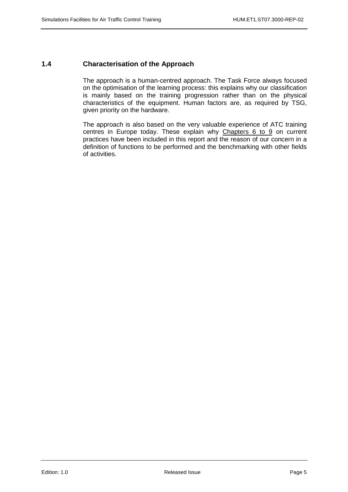## **1.4 Characterisation of the Approach**

The approach is a human-centred approach. The Task Force always focused on the optimisation of the learning process: this explains why our classification is mainly based on the training progression rather than on the physical characteristics of the equipment. Human factors are, as required by TSG, given priority on the hardware.

The approach is also based on the very valuable experience of ATC training centres in Europe today. These explain why Chapters 6 to 9 on current practices have been included in this report and the reason of our concern in a definition of functions to be performed and the benchmarking with other fields of activities.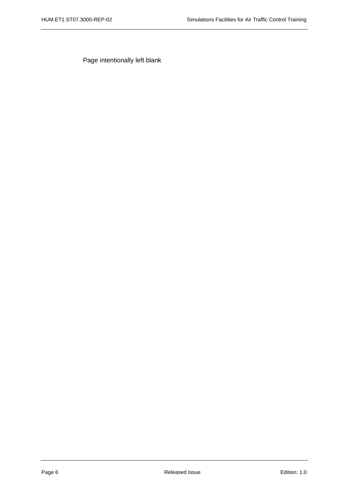Page intentionally left blank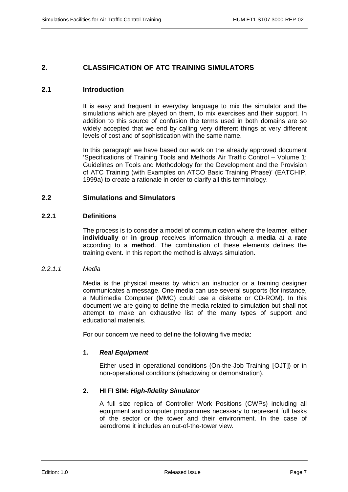## **2. CLASSIFICATION OF ATC TRAINING SIMULATORS**

## **2.1 Introduction**

It is easy and frequent in everyday language to mix the simulator and the simulations which are played on them, to mix exercises and their support. In addition to this source of confusion the terms used in both domains are so widely accepted that we end by calling very different things at very different levels of cost and of sophistication with the same name.

In this paragraph we have based our work on the already approved document 'Specifications of Training Tools and Methods Air Traffic Control – Volume 1: Guidelines on Tools and Methodology for the Development and the Provision of ATC Training (with Examples on ATCO Basic Training Phase)' (EATCHIP, 1999a) to create a rationale in order to clarify all this terminology.

## **2.2 Simulations and Simulators**

#### **2.2.1 Definitions**

The process is to consider a model of communication where the learner, either **individually** or **in group** receives information through a **media** at a **rate** according to a **method**. The combination of these elements defines the training event. In this report the method is always simulation.

#### *2.2.1.1 Media*

Media is the physical means by which an instructor or a training designer communicates a message. One media can use several supports (for instance, a Multimedia Computer (MMC) could use a diskette or CD-ROM). In this document we are going to define the media related to simulation but shall not attempt to make an exhaustive list of the many types of support and educational materials.

For our concern we need to define the following five media:

#### **1.** *Real Equipment*

Either used in operational conditions (On-the-Job Training [OJT]) or in non-operational conditions (shadowing or demonstration).

## **2. HI FI SIM:** *High-fidelity Simulator*

A full size replica of Controller Work Positions (CWPs) including all equipment and computer programmes necessary to represent full tasks of the sector or the tower and their environment. In the case of aerodrome it includes an out-of-the-tower view.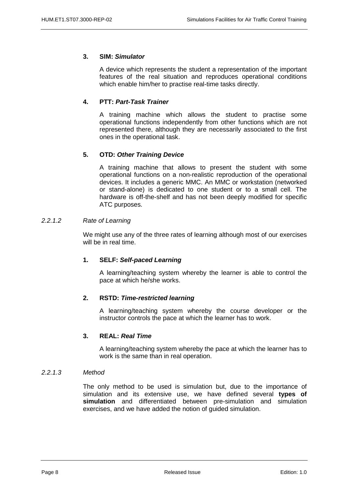#### **3. SIM:** *Simulator*

A device which represents the student a representation of the important features of the real situation and reproduces operational conditions which enable him/her to practise real-time tasks directly.

## **4. PTT:** *Part-Task Trainer*

A training machine which allows the student to practise some operational functions independently from other functions which are not represented there, although they are necessarily associated to the first ones in the operational task.

## **5. OTD:** *Other Training Device*

A training machine that allows to present the student with some operational functions on a non-realistic reproduction of the operational devices. It includes a generic MMC. An MMC or workstation (networked or stand-alone) is dedicated to one student or to a small cell. The hardware is off-the-shelf and has not been deeply modified for specific ATC purposes.

### *2.2.1.2 Rate of Learning*

We might use any of the three rates of learning although most of our exercises will be in real time.

## **1. SELF:** *Self-paced Learning*

A learning/teaching system whereby the learner is able to control the pace at which he/she works.

## **2. RSTD:** *Time-restricted learning*

A learning/teaching system whereby the course developer or the instructor controls the pace at which the learner has to work.

## **3. REAL:** *Real Time*

A learning/teaching system whereby the pace at which the learner has to work is the same than in real operation.

#### *2.2.1.3 Method*

The only method to be used is simulation but, due to the importance of simulation and its extensive use, we have defined several **types of simulation** and differentiated between pre-simulation and simulation exercises, and we have added the notion of guided simulation.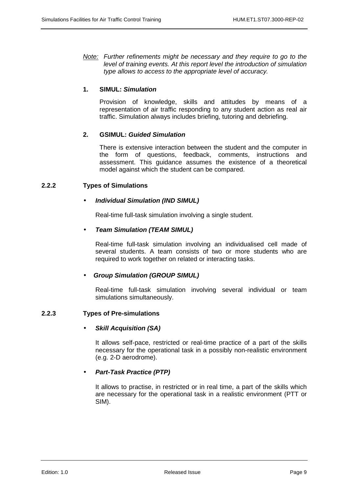*Note: Further refinements might be necessary and they require to go to the level of training events. At this report level the introduction of simulation type allows to access to the appropriate level of accuracy.*

## **1. SIMUL:** *Simulation*

Provision of knowledge, skills and attitudes by means of a representation of air traffic responding to any student action as real air traffic. Simulation always includes briefing, tutoring and debriefing.

## **2. GSIMUL:** *Guided Simulation*

There is extensive interaction between the student and the computer in the form of questions, feedback, comments, instructions and assessment. This guidance assumes the existence of a theoretical model against which the student can be compared.

## **2.2.2 Types of Simulations**

## • *Individual Simulation (IND SIMUL)*

Real-time full-task simulation involving a single student.

#### • *Team Simulation (TEAM SIMUL)*

Real-time full-task simulation involving an individualised cell made of several students. A team consists of two or more students who are required to work together on related or interacting tasks.

## • *Group Simulation (GROUP SIMUL)*

Real-time full-task simulation involving several individual or team simulations simultaneously.

#### **2.2.3 Types of Pre-simulations**

## • *Skill Acquisition (SA)*

It allows self-pace, restricted or real-time practice of a part of the skills necessary for the operational task in a possibly non-realistic environment (e.g. 2-D aerodrome).

## • *Part-Task Practice (PTP)*

It allows to practise, in restricted or in real time, a part of the skills which are necessary for the operational task in a realistic environment (PTT or SIM).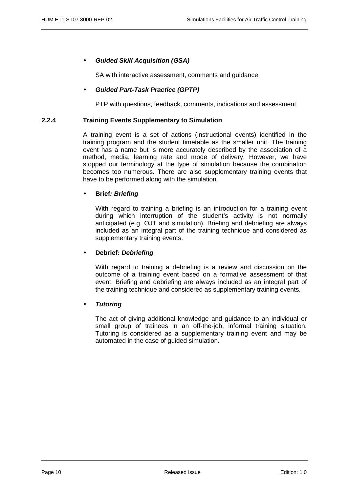## • *Guided Skill Acquisition (GSA)*

SA with interactive assessment, comments and guidance.

#### • *Guided Part-Task Practice (GPTP)*

PTP with questions, feedback, comments, indications and assessment.

#### **2.2.4 Training Events Supplementary to Simulation**

A training event is a set of actions (instructional events) identified in the training program and the student timetable as the smaller unit. The training event has a name but is more accurately described by the association of a method, media, learning rate and mode of delivery. However, we have stopped our terminology at the type of simulation because the combination becomes too numerous. There are also supplementary training events that have to be performed along with the simulation.

#### • **Brief***: Briefing*

With regard to training a briefing is an introduction for a training event during which interruption of the student's activity is not normally anticipated (e.g. OJT and simulation). Briefing and debriefing are always included as an integral part of the training technique and considered as supplementary training events.

#### • **Debrief***: Debriefing*

With regard to training a debriefing is a review and discussion on the outcome of a training event based on a formative assessment of that event. Briefing and debriefing are always included as an integral part of the training technique and considered as supplementary training events.

#### • *Tutoring*

The act of giving additional knowledge and guidance to an individual or small group of trainees in an off-the-job, informal training situation. Tutoring is considered as a supplementary training event and may be automated in the case of guided simulation.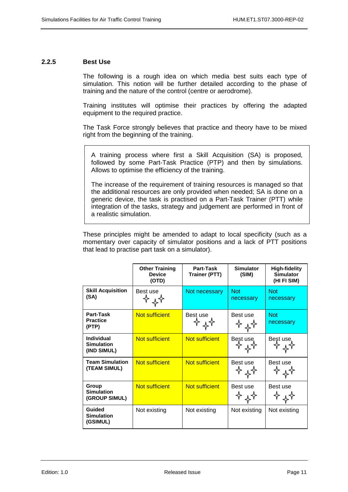## **2.2.5 Best Use**

The following is a rough idea on which media best suits each type of simulation. This notion will be further detailed according to the phase of training and the nature of the control (centre or aerodrome).

Training institutes will optimise their practices by offering the adapted equipment to the required practice.

The Task Force strongly believes that practice and theory have to be mixed right from the beginning of the training.

A training process where first a Skill Acquisition (SA) is proposed, followed by some Part-Task Practice (PTP) and then by simulations. Allows to optimise the efficiency of the training.

The increase of the requirement of training resources is managed so that the additional resources are only provided when needed; SA is done on a generic device, the task is practised on a Part-Task Trainer (PTT) while integration of the tasks, strategy and judgement are performed in front of a realistic simulation.

These principles might be amended to adapt to local specificity (such as a momentary over capacity of simulator positions and a lack of PTT positions that lead to practise part task on a simulator).

|                                                | <b>Other Training</b><br><b>Device</b><br>(OTD) | Part-Task<br>Trainer (PTT) | Simulator<br>(SIM)      | <b>High-fidelity</b><br><b>Simulator</b><br>(HI FI SIM) |
|------------------------------------------------|-------------------------------------------------|----------------------------|-------------------------|---------------------------------------------------------|
| <b>Skill Acquisition</b><br>(SA)               | Best use                                        | Not necessary              | <b>Not</b><br>necessary | <b>Not</b><br>necessary                                 |
| Part-Task<br><b>Practice</b><br>(PTP)          | Not sufficient                                  | Best use                   | Best use                | <b>Not</b><br>necessary                                 |
| Individual<br><b>Simulation</b><br>(IND SIMUL) | Not sufficient                                  | Not sufficient             | Best use                | Best use.                                               |
| <b>Team Simulation</b><br>(TEAM SIMUL)         | Not sufficient                                  | Not sufficient             | Best use                | Best use                                                |
| Group<br><b>Simulation</b><br>(GROUP SIMUL)    | Not sufficient                                  | Not sufficient             | Best use                | Best use                                                |
| Guided<br><b>Simulation</b><br>(GSIMUL)        | Not existing                                    | Not existing               | Not existing            | Not existing                                            |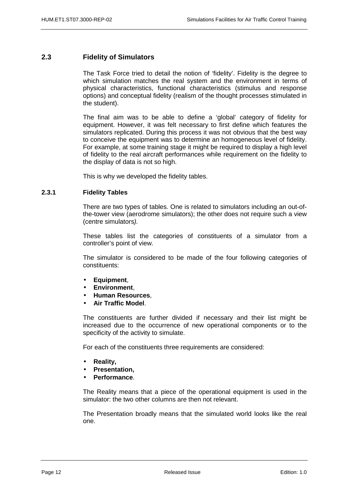## **2.3 Fidelity of Simulators**

The Task Force tried to detail the notion of 'fidelity'. Fidelity is the degree to which simulation matches the real system and the environment in terms of physical characteristics, functional characteristics (stimulus and response options) and conceptual fidelity (realism of the thought processes stimulated in the student).

The final aim was to be able to define a 'global' category of fidelity for equipment. However, it was felt necessary to first define which features the simulators replicated. During this process it was not obvious that the best way to conceive the equipment was to determine an homogeneous level of fidelity. For example, at some training stage it might be required to display a high level of fidelity to the real aircraft performances while requirement on the fidelity to the display of data is not so high.

This is why we developed the fidelity tables.

#### **2.3.1 Fidelity Tables**

There are two types of tables. One is related to simulators including an out-ofthe-tower view (aerodrome simulators); the other does not require such a view (centre simulators*).*

These tables list the categories of constituents of a simulator from a controller's point of view.

The simulator is considered to be made of the four following categories of constituents:

- **Equipment**,
- **Environment**,
- **Human Resources**,
- **Air Traffic Model**.

The constituents are further divided if necessary and their list might be increased due to the occurrence of new operational components or to the specificity of the activity to simulate.

For each of the constituents three requirements are considered:

- **Reality,**
- **Presentation,**
- **Performance**.

The Reality means that a piece of the operational equipment is used in the simulator: the two other columns are then not relevant.

The Presentation broadly means that the simulated world looks like the real one.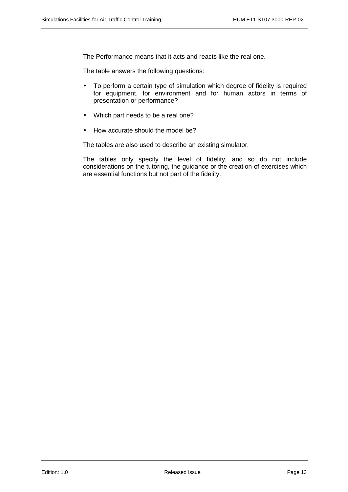The Performance means that it acts and reacts like the real one.

The table answers the following questions:

- To perform a certain type of simulation which degree of fidelity is required for equipment, for environment and for human actors in terms of presentation or performance?
- Which part needs to be a real one?
- How accurate should the model be?

The tables are also used to describe an existing simulator.

The tables only specify the level of fidelity, and so do not include considerations on the tutoring, the guidance or the creation of exercises which are essential functions but not part of the fidelity.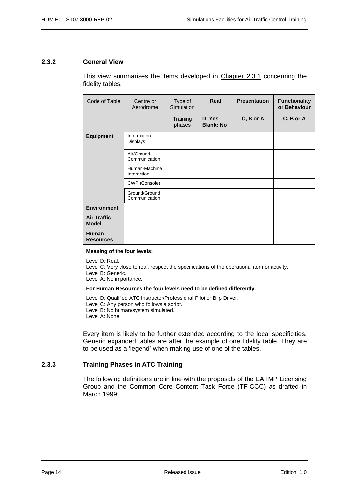## **2.3.2 General View**

This view summarises the items developed in Chapter 2.3.1 concerning the fidelity tables.

| Code of Table                      | Centre or<br>Aerodrome         | Type of<br>Simulation | Real                       | <b>Presentation</b> | <b>Functionality</b><br>or Behaviour |  |
|------------------------------------|--------------------------------|-----------------------|----------------------------|---------------------|--------------------------------------|--|
|                                    |                                | Training<br>phases    | D: Yes<br><b>Blank: No</b> | C, B or A           | C, B or A                            |  |
| <b>Equipment</b>                   | Information<br><b>Displays</b> |                       |                            |                     |                                      |  |
|                                    | Air/Ground<br>Communication    |                       |                            |                     |                                      |  |
|                                    | Human-Machine<br>Interaction   |                       |                            |                     |                                      |  |
|                                    | CWP (Console)                  |                       |                            |                     |                                      |  |
|                                    | Ground/Ground<br>Communication |                       |                            |                     |                                      |  |
| <b>Environment</b>                 |                                |                       |                            |                     |                                      |  |
| <b>Air Traffic</b><br><b>Model</b> |                                |                       |                            |                     |                                      |  |
| <b>Human</b><br><b>Resources</b>   |                                |                       |                            |                     |                                      |  |
| Mooning of the four loveler        |                                |                       |                            |                     |                                      |  |

#### **Meaning of the four levels:**

Level D: Real.

Level C: Very close to real, respect the specifications of the operational item or activity.

Level B: Generic.

Level A: No importance.

#### **For Human Resources the four levels need to be defined differently:**

Level D: Qualified ATC Instructor/Professional Pilot or Blip Driver.

Level C: Any person who follows a script.

Level B: No human/system simulated.

Level A: None.

Every item is likely to be further extended according to the local specificities. Generic expanded tables are after the example of one fidelity table. They are to be used as a 'legend' when making use of one of the tables.

#### **2.3.3 Training Phases in ATC Training**

The following definitions are in line with the proposals of the EATMP Licensing Group and the Common Core Content Task Force (TF-CCC) as drafted in March 1999: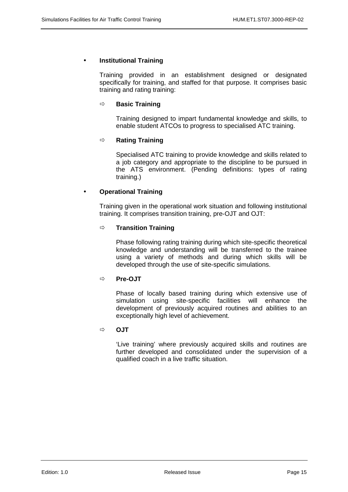## • **Institutional Training**

Training provided in an establishment designed or designated specifically for training, and staffed for that purpose. It comprises basic training and rating training:

#### **Basic Training**

Training designed to impart fundamental knowledge and skills, to enable student ATCOs to progress to specialised ATC training.

## **Rating Training**

Specialised ATC training to provide knowledge and skills related to a job category and appropriate to the discipline to be pursued in the ATS environment. (Pending definitions: types of rating training.)

## • **Operational Training**

Training given in the operational work situation and following institutional training. It comprises transition training, pre-OJT and OJT:

#### **Transition Training**

Phase following rating training during which site-specific theoretical knowledge and understanding will be transferred to the trainee using a variety of methods and during which skills will be developed through the use of site-specific simulations.

#### **Pre-OJT**

Phase of locally based training during which extensive use of simulation using site-specific facilities will enhance the development of previously acquired routines and abilities to an exceptionally high level of achievement.

#### **OJT**

'Live training' where previously acquired skills and routines are further developed and consolidated under the supervision of a qualified coach in a live traffic situation.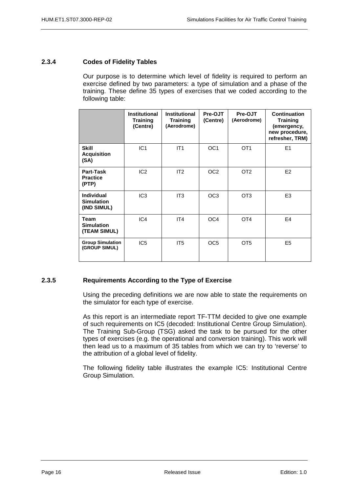## **2.3.4 Codes of Fidelity Tables**

Our purpose is to determine which level of fidelity is required to perform an exercise defined by two parameters: a type of simulation and a phase of the training. These define 35 types of exercises that we coded according to the following table:

|                                                  | Institutional<br><b>Training</b><br>(Centre) | <b>Institutional</b><br><b>Training</b><br>(Aerodrome) | Pre-OJT<br>(Centre) | Pre-OJT<br>(Aerodrome) | <b>Continuation</b><br><b>Training</b><br>(emergency,<br>new procedure,<br>refresher, TRM) |
|--------------------------------------------------|----------------------------------------------|--------------------------------------------------------|---------------------|------------------------|--------------------------------------------------------------------------------------------|
| <b>Skill</b><br><b>Acquisition</b><br>(SA)       | IC1                                          | IT1                                                    | OC <sub>1</sub>     | OT <sub>1</sub>        | E1                                                                                         |
| Part-Task<br><b>Practice</b><br>(PTP)            | IC <sub>2</sub>                              | IT <sub>2</sub>                                        | OC <sub>2</sub>     | OT <sub>2</sub>        | E <sub>2</sub>                                                                             |
| Individual<br><b>Simulation</b><br>(IND SIMUL)   | IC3                                          | IT <sub>3</sub>                                        | OC <sub>3</sub>     | OT <sub>3</sub>        | E <sub>3</sub>                                                                             |
| <b>Team</b><br><b>Simulation</b><br>(TEAM SIMUL) | IC4                                          | IT4                                                    | OC <sub>4</sub>     | OT <sub>4</sub>        | E <sub>4</sub>                                                                             |
| <b>Group Simulation</b><br>(GROUP SIMUL)         | IC <sub>5</sub>                              | IT <sub>5</sub>                                        | OC <sub>5</sub>     | OT <sub>5</sub>        | E <sub>5</sub>                                                                             |

#### **2.3.5 Requirements According to the Type of Exercise**

Using the preceding definitions we are now able to state the requirements on the simulator for each type of exercise.

As this report is an intermediate report TF-TTM decided to give one example of such requirements on IC5 (decoded: Institutional Centre Group Simulation). The Training Sub-Group (TSG) asked the task to be pursued for the other types of exercises (e.g. the operational and conversion training). This work will then lead us to a maximum of 35 tables from which we can try to 'reverse' to the attribution of a global level of fidelity.

The following fidelity table illustrates the example IC5: Institutional Centre Group Simulation.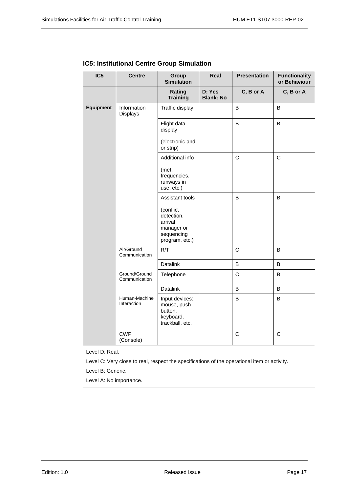| IC <sub>5</sub>   | <b>Centre</b>                  | Group<br><b>Simulation</b>                                                                   | Real                       | <b>Presentation</b> | <b>Functionality</b><br>or Behaviour |  |  |
|-------------------|--------------------------------|----------------------------------------------------------------------------------------------|----------------------------|---------------------|--------------------------------------|--|--|
|                   |                                | Rating<br><b>Training</b>                                                                    | D: Yes<br><b>Blank: No</b> | C, B or A           | C, B or A                            |  |  |
| <b>Equipment</b>  | Information<br><b>Displays</b> | Traffic display                                                                              |                            | B                   | B                                    |  |  |
|                   |                                | Flight data<br>display                                                                       |                            | В                   | B                                    |  |  |
|                   |                                | (electronic and<br>or strip)                                                                 |                            |                     |                                      |  |  |
|                   |                                | Additional info                                                                              |                            | $\mathsf C$         | $\mathsf{C}$                         |  |  |
|                   |                                | (met,<br>frequencies,<br>runways in<br>use, etc.)                                            |                            |                     |                                      |  |  |
|                   |                                | Assistant tools                                                                              |                            | B                   | B                                    |  |  |
|                   |                                | (conflict<br>detection,<br>arrival<br>manager or<br>sequencing<br>program, etc.)             |                            |                     |                                      |  |  |
|                   | Air/Ground<br>Communication    | R/T                                                                                          |                            | $\mathsf C$         | B                                    |  |  |
|                   |                                | <b>Datalink</b>                                                                              |                            | В                   | В                                    |  |  |
|                   | Ground/Ground<br>Communication | Telephone                                                                                    |                            | C                   | B                                    |  |  |
|                   |                                | <b>Datalink</b>                                                                              |                            | В                   | B                                    |  |  |
|                   | Human-Machine<br>Interaction   | Input devices:<br>mouse, push<br>button,<br>keyboard,<br>trackball, etc.                     |                            | В                   | B                                    |  |  |
|                   | <b>CWP</b><br>(Console)        |                                                                                              |                            | $\mathsf C$         | $\mathsf C$                          |  |  |
| Level D: Real.    |                                |                                                                                              |                            |                     |                                      |  |  |
|                   |                                | Level C: Very close to real, respect the specifications of the operational item or activity. |                            |                     |                                      |  |  |
| Level B: Generic. |                                |                                                                                              |                            |                     |                                      |  |  |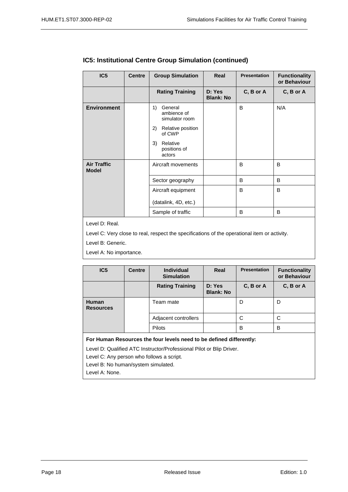| IC5                                | <b>Centre</b> | <b>Group Simulation</b>                                                                                                         | Real                       | <b>Presentation</b> | <b>Functionality</b><br>or Behaviour |
|------------------------------------|---------------|---------------------------------------------------------------------------------------------------------------------------------|----------------------------|---------------------|--------------------------------------|
|                                    |               | <b>Rating Training</b>                                                                                                          | D: Yes<br><b>Blank: No</b> | C, B or A           | C, B or A                            |
| <b>Environment</b>                 |               | General<br>1)<br>ambience of<br>simulator room<br>Relative position<br>2)<br>of CWP<br>3)<br>Relative<br>positions of<br>actors |                            | B                   | N/A                                  |
| <b>Air Traffic</b><br><b>Model</b> |               | Aircraft movements                                                                                                              |                            | B                   | B                                    |
|                                    |               | Sector geography                                                                                                                |                            | B                   | B                                    |
|                                    |               | Aircraft equipment                                                                                                              |                            | B                   | B                                    |
|                                    |               | (datalink, 4D, etc.)                                                                                                            |                            |                     |                                      |
|                                    |               | Sample of traffic                                                                                                               |                            | B                   | B                                    |

## **IC5: Institutional Centre Group Simulation (continued)**

Level D: Real.

Level C: Very close to real, respect the specifications of the operational item or activity.

Level B: Generic.

Level A: No importance.

| <b>Centre</b> | <b>Individual</b><br><b>Simulation</b> | Real                       | <b>Presentation</b> | <b>Functionality</b><br>or Behaviour |
|---------------|----------------------------------------|----------------------------|---------------------|--------------------------------------|
|               | <b>Rating Training</b>                 | D: Yes<br><b>Blank: No</b> | C, B or A           | C, B or A                            |
|               | Team mate                              |                            | D                   | D                                    |
|               | Adjacent controllers                   |                            | C                   | C                                    |
|               | <b>Pilots</b>                          |                            | B                   | В                                    |
|               |                                        |                            |                     |                                      |

**For Human Resources the four levels need to be defined differently:**

Level D: Qualified ATC Instructor/Professional Pilot or Blip Driver.

Level C: Any person who follows a script.

Level B: No human/system simulated.

Level A: None.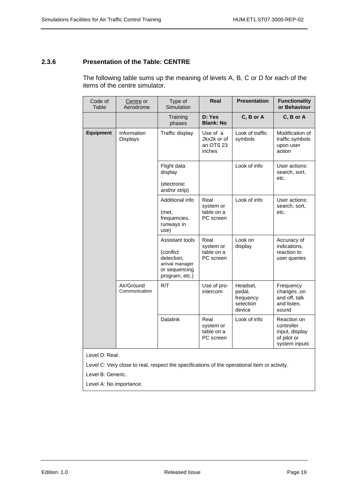## **2.3.6 Presentation of the Table: CENTRE**

The following table sums up the meaning of levels A, B, C or D for each of the items of the centre simulator.

| Code of<br>Table | Centre or<br>Aerodrome         | Type of<br>Simulation                                                                            | Real                                           | <b>Presentation</b>                                    | <b>Functionality</b><br>or Behaviour                                        |
|------------------|--------------------------------|--------------------------------------------------------------------------------------------------|------------------------------------------------|--------------------------------------------------------|-----------------------------------------------------------------------------|
|                  |                                | Training<br>phases                                                                               | D: Yes<br><b>Blank: No</b>                     | C, B or A                                              | C, B or A                                                                   |
| <b>Equipment</b> | Information<br><b>Displays</b> | Traffic display                                                                                  | Use of a<br>2kx2k or of<br>an OTS 23<br>inches | Look of traffic<br>symbols                             | Modification of<br>traffic symbols<br>upon user<br>action                   |
|                  |                                | Flight data<br>display<br>(electronic<br>and/or strip)                                           |                                                | Look of info                                           | User actions:<br>search, sort,<br>etc.                                      |
|                  |                                | Additional info<br>(met,<br>frequencies,<br>runways in<br>use)                                   | Real<br>system or<br>table on a<br>PC screen   | Look of info                                           | User actions:<br>search, sort,<br>etc.                                      |
|                  |                                | Assistant tools<br>(conflict<br>detection,<br>arrival manager<br>or sequencing<br>program, etc.) | Real<br>system or<br>table on a<br>PC screen   | Look on<br>display                                     | Accuracy of<br>indications,<br>reaction to<br>user queries                  |
|                  | Air/Ground<br>Communication    | R/T                                                                                              | Use of pro-<br>intercom                        | Headset,<br>pedal,<br>frequency<br>selection<br>device | Frequency<br>changes, on<br>and off, talk<br>and listen,<br>sound           |
|                  |                                | <b>Datalink</b>                                                                                  | Real<br>system or<br>table on a<br>PC screen   | Look of info                                           | Reaction on<br>controller<br>input, display<br>of pilot or<br>system inputs |

Level D: Real.

Level C: Very close to real, respect the specifications of the operational item or activity.

Level B: Generic.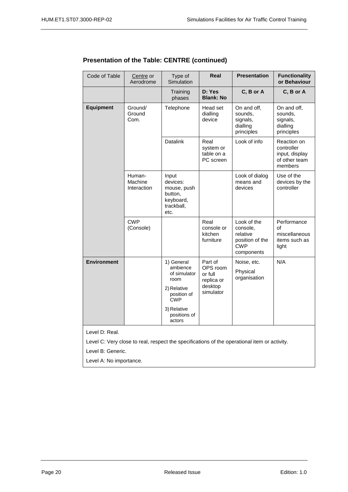| Code of Table      | Centre or<br>Aerodrome           | Type of<br>Simulation                                                                                                               | Real                                                                 | <b>Presentation</b>                                                                | <b>Functionality</b><br>or Behaviour                                    |
|--------------------|----------------------------------|-------------------------------------------------------------------------------------------------------------------------------------|----------------------------------------------------------------------|------------------------------------------------------------------------------------|-------------------------------------------------------------------------|
|                    |                                  | Training<br>phases                                                                                                                  | D: Yes<br><b>Blank: No</b>                                           | C, B or A                                                                          | C, B or A                                                               |
| <b>Equipment</b>   | Ground/<br>Ground<br>Com.        | Telephone                                                                                                                           | Head set<br>dialling<br>device                                       | On and off,<br>sounds.<br>signals,<br>dialling<br>principles                       | On and off,<br>sounds.<br>signals,<br>dialling<br>principles            |
|                    |                                  | <b>Datalink</b>                                                                                                                     | Real<br>system or<br>table on a<br>PC screen                         | Look of info                                                                       | Reaction on<br>controller<br>input, display<br>of other team<br>members |
|                    | Human-<br>Machine<br>Interaction | Input<br>devices:<br>mouse, push<br>button,<br>keyboard,<br>trackball,<br>etc.                                                      |                                                                      | Look of dialog<br>means and<br>devices                                             | Use of the<br>devices by the<br>controller                              |
|                    | <b>CWP</b><br>(Console)          |                                                                                                                                     | Real<br>console or<br>kitchen<br>furniture                           | Look of the<br>console,<br>relative<br>position of the<br><b>CWP</b><br>components | Performance<br>of<br>miscellaneous<br>items such as<br>light            |
| <b>Environment</b> |                                  | 1) General<br>ambience<br>of simulator<br>room<br>2) Relative<br>position of<br><b>CWP</b><br>3) Relative<br>positions of<br>actors | Part of<br>OPS room<br>or full<br>replica or<br>desktop<br>simulator | Noise, etc.<br>Physical<br>organisation                                            | N/A                                                                     |
| Level D: Real.     |                                  |                                                                                                                                     |                                                                      |                                                                                    |                                                                         |

# **Presentation of the Table: CENTRE (continued)**

Level C: Very close to real, respect the specifications of the operational item or activity.

Level B: Generic.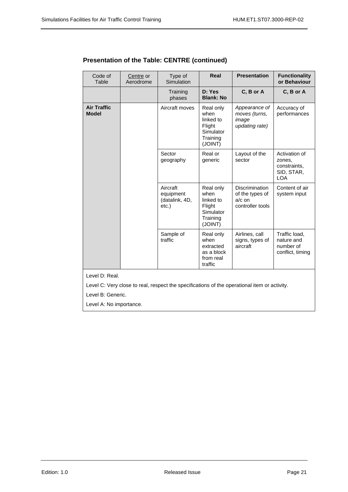| Code of<br>Table                   | Centre or<br>Aerodrome | Type of<br>Simulation                               | Real                                                                         | <b>Presentation</b>                                                      | <b>Functionality</b><br>or Behaviour                                |
|------------------------------------|------------------------|-----------------------------------------------------|------------------------------------------------------------------------------|--------------------------------------------------------------------------|---------------------------------------------------------------------|
|                                    |                        | Training<br>phases                                  | D: Yes<br><b>Blank: No</b>                                                   | C, B or A                                                                | C, B or A                                                           |
| <b>Air Traffic</b><br><b>Model</b> |                        | Aircraft moves                                      | Real only<br>when<br>linked to<br>Flight<br>Simulator<br>Training<br>(JOINT) | Appearance of<br>moves (turns,<br>image<br>updating rate)                | Accuracy of<br>performances                                         |
|                                    |                        | Sector<br>geography                                 | Real or<br>generic                                                           | Layout of the<br>sector                                                  | Activation of<br>zones,<br>constraints,<br>SID, STAR,<br><b>LOA</b> |
|                                    |                        | Aircraft<br>equipment<br>(datalink, 4D,<br>$etc.$ ) | Real only<br>when<br>linked to<br>Flight<br>Simulator<br>Training<br>(JOINT) | <b>Discrimination</b><br>of the types of<br>$a/c$ on<br>controller tools | Content of air<br>system input                                      |
|                                    |                        | Sample of<br>traffic                                | Real only<br>when<br>extracted<br>as a block<br>from real<br>traffic         | Airlines, call<br>signs, types of<br>aircraft                            | Traffic load,<br>nature and<br>number of<br>conflict, timing        |
| Level D: Real.                     |                        |                                                     |                                                                              |                                                                          |                                                                     |

# **Presentation of the Table: CENTRE (continued)**

Level C: Very close to real, respect the specifications of the operational item or activity.

Level B: Generic.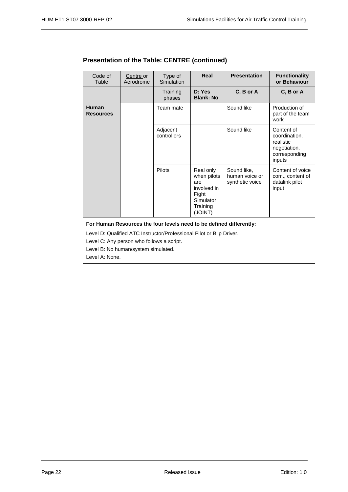| Code of<br>Table                                                                                                                                         | Centre or<br>Aerodrome | Type of<br>Simulation   | Real                                                                                        | <b>Presentation</b>                              | <b>Functionality</b><br>or Behaviour                                                |
|----------------------------------------------------------------------------------------------------------------------------------------------------------|------------------------|-------------------------|---------------------------------------------------------------------------------------------|--------------------------------------------------|-------------------------------------------------------------------------------------|
|                                                                                                                                                          |                        | Training<br>phases      | D: Yes<br><b>Blank: No</b>                                                                  | C, B or A                                        | C, B or A                                                                           |
| <b>Human</b><br><b>Resources</b>                                                                                                                         |                        | Team mate               |                                                                                             | Sound like                                       | Production of<br>part of the team<br>work                                           |
|                                                                                                                                                          |                        | Adjacent<br>controllers |                                                                                             | Sound like                                       | Content of<br>coordination,<br>realistic<br>negotiation,<br>corresponding<br>inputs |
|                                                                                                                                                          |                        | Pilots                  | Real only<br>when pilots<br>are<br>involved in<br>Fight<br>Simulator<br>Training<br>(JOINT) | Sound like,<br>human voice or<br>synthetic voice | Content of voice<br>com., content of<br>datalink pilot<br>input                     |
| For Human Resources the four levels need to be defined differently:                                                                                      |                        |                         |                                                                                             |                                                  |                                                                                     |
| Level D: Qualified ATC Instructor/Professional Pilot or Blip Driver.<br>Level C: Any person who follows a script.<br>Level B: No human/system simulated. |                        |                         |                                                                                             |                                                  |                                                                                     |

# **Presentation of the Table: CENTRE (continued)**

Level A: None.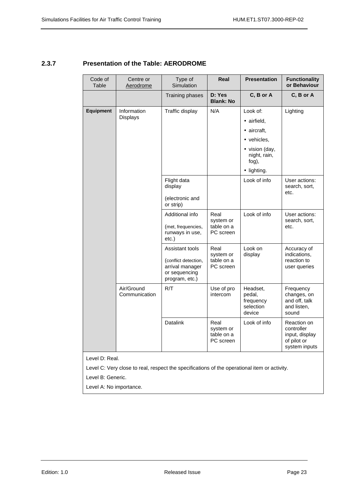# **2.3.7 Presentation of the Table: AERODROME**

| Code of<br><b>Table</b> | Centre or<br>Aerodrome         | Type of<br>Simulation                                                                         | Real                                         | <b>Presentation</b>                                                                                                     | <b>Functionality</b><br>or Behaviour                                        |
|-------------------------|--------------------------------|-----------------------------------------------------------------------------------------------|----------------------------------------------|-------------------------------------------------------------------------------------------------------------------------|-----------------------------------------------------------------------------|
|                         |                                | <b>Training phases</b>                                                                        | D: Yes<br><b>Blank: No</b>                   | C, B or A                                                                                                               | C, B or A                                                                   |
| <b>Equipment</b>        | Information<br><b>Displays</b> | Traffic display                                                                               | N/A                                          | Look of:<br>· airfield,<br>$\bullet$ aircraft,<br>• vehicles,<br>· vision (day,<br>night, rain,<br>fog),<br>· lighting. | Lighting                                                                    |
|                         |                                | Flight data<br>display<br>(electronic and<br>or strip)                                        |                                              | Look of info                                                                                                            | User actions:<br>search, sort,<br>etc.                                      |
|                         |                                | Additional info<br>(met, frequencies,<br>runways in use,<br>etc.)                             | Real<br>system or<br>table on a<br>PC screen | Look of info                                                                                                            | User actions:<br>search, sort,<br>etc.                                      |
|                         |                                | Assistant tools<br>(conflict detection,<br>arrival manager<br>or sequencing<br>program, etc.) | Real<br>system or<br>table on a<br>PC screen | Look on<br>display                                                                                                      | Accuracy of<br>indications,<br>reaction to<br>user queries                  |
|                         | Air/Ground<br>Communication    | R/T                                                                                           | Use of pro<br>intercom                       | Headset,<br>pedal,<br>frequency<br>selection<br>device                                                                  | Frequency<br>changes, on<br>and off, talk<br>and listen,<br>sound           |
|                         |                                | <b>Datalink</b>                                                                               | Real<br>system or<br>table on a<br>PC screen | Look of info                                                                                                            | Reaction on<br>controller<br>input, display<br>of pilot or<br>system inputs |

Level D: Real.

Level C: Very close to real, respect the specifications of the operational item or activity.

Level B: Generic.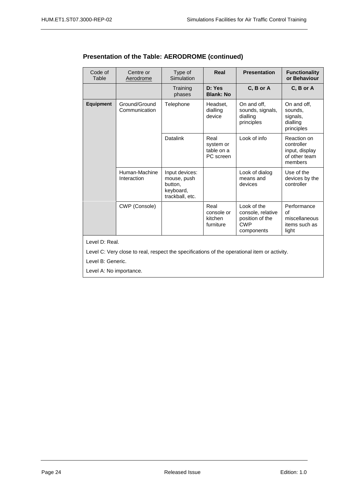| Code of<br>Table | Centre or<br>Aerodrome         | Type of<br>Simulation                                                    | Real                                         | <b>Presentation</b>                                                             | <b>Functionality</b><br>or Behaviour                                    |
|------------------|--------------------------------|--------------------------------------------------------------------------|----------------------------------------------|---------------------------------------------------------------------------------|-------------------------------------------------------------------------|
|                  |                                | Training<br>phases                                                       | D: Yes<br><b>Blank: No</b>                   | C, B or A                                                                       | $C, B$ or $A$                                                           |
| <b>Equipment</b> | Ground/Ground<br>Communication | Telephone                                                                | Headset.<br>dialling<br>device               | On and off,<br>sounds, signals,<br>dialling<br>principles                       | On and off,<br>sounds.<br>signals,<br>dialling<br>principles            |
|                  |                                | Datalink                                                                 | Real<br>system or<br>table on a<br>PC screen | Look of info                                                                    | Reaction on<br>controller<br>input, display<br>of other team<br>members |
|                  | Human-Machine<br>Interaction   | Input devices:<br>mouse, push<br>button,<br>keyboard,<br>trackball, etc. |                                              | Look of dialog<br>means and<br>devices                                          | Use of the<br>devices by the<br>controller                              |
|                  | CWP (Console)                  |                                                                          | Real<br>console or<br>kitchen<br>furniture   | Look of the<br>console, relative<br>position of the<br><b>CWP</b><br>components | Performance<br>οf<br>miscellaneous<br>items such as<br>light            |

# **Presentation of the Table: AERODROME (continued)**

Level D: Real.

Level C: Very close to real, respect the specifications of the operational item or activity.

Level B: Generic.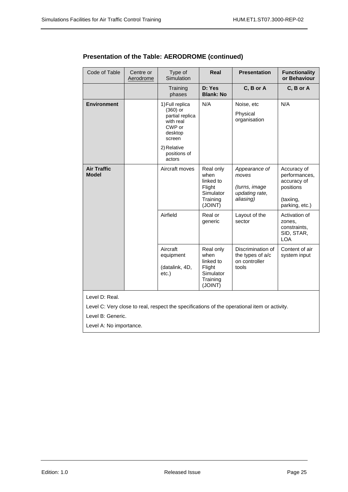| Code of Table                      | Centre or<br>Aerodrome | Type of<br>Simulation                                                                                                                 | Real                                                                         | <b>Presentation</b>                                                    | <b>Functionality</b><br>or Behaviour                                                    |  |
|------------------------------------|------------------------|---------------------------------------------------------------------------------------------------------------------------------------|------------------------------------------------------------------------------|------------------------------------------------------------------------|-----------------------------------------------------------------------------------------|--|
|                                    |                        | Training<br>phases                                                                                                                    | D: Yes<br><b>Blank: No</b>                                                   | C, B or A                                                              | C, B or A                                                                               |  |
| <b>Environment</b>                 |                        | 1) Full replica<br>$(360)$ or<br>partial replica<br>with real<br>CWP or<br>desktop<br>screen<br>2) Relative<br>positions of<br>actors | N/A                                                                          | Noise, etc<br>Physical<br>organisation                                 | N/A                                                                                     |  |
| <b>Air Traffic</b><br><b>Model</b> |                        | Aircraft moves                                                                                                                        | Real only<br>when<br>linked to<br>Flight<br>Simulator<br>Training<br>(JOINT) | Appearance of<br>moves<br>(turns, image<br>updating rate,<br>aliasing) | Accuracy of<br>performances,<br>accuracy of<br>positions<br>(taxiing,<br>parking, etc.) |  |
|                                    |                        | Airfield                                                                                                                              | Real or<br>generic                                                           | Layout of the<br>sector                                                | Activation of<br>zones,<br>constraints,<br>SID, STAR,<br><b>LOA</b>                     |  |
|                                    |                        | Aircraft<br>equipment<br>(datalink, 4D,<br>$etc.$ )                                                                                   | Real only<br>when<br>linked to<br>Flight<br>Simulator<br>Training<br>(JOINT) | Discrimination of<br>the types of a/c<br>on controller<br>tools        | Content of air<br>system input                                                          |  |
| Loval D. Pool                      |                        |                                                                                                                                       |                                                                              |                                                                        |                                                                                         |  |

# **Presentation of the Table: AERODROME (continued)**

Level D: Real.

Level C: Very close to real, respect the specifications of the operational item or activity.

Level B: Generic.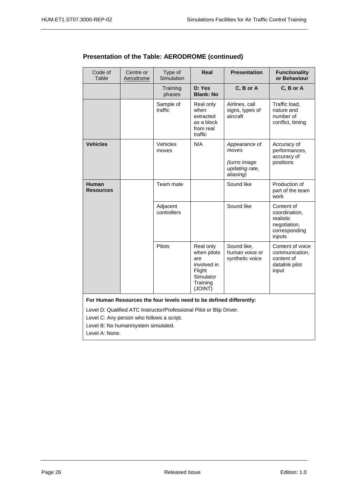| Code of<br>Table                 | Centre or<br>Aerodrome | Type of<br>Simulation                                                                                                                       | Real                                                                                         | <b>Presentation</b>                                                   | <b>Functionality</b><br>or Behaviour                                                |
|----------------------------------|------------------------|---------------------------------------------------------------------------------------------------------------------------------------------|----------------------------------------------------------------------------------------------|-----------------------------------------------------------------------|-------------------------------------------------------------------------------------|
|                                  |                        | Training<br>phases                                                                                                                          | D: Yes<br><b>Blank: No</b>                                                                   | C, B or A                                                             | C, B or A                                                                           |
|                                  |                        | Sample of<br>traffic                                                                                                                        | Real only<br>when<br>extracted<br>as a block<br>from real<br>traffic                         | Airlines, call<br>signs, types of<br>aircraft                         | Traffic load,<br>nature and<br>number of<br>conflict, timing                        |
| <b>Vehicles</b>                  |                        | Vehicles<br>moves                                                                                                                           | N/A                                                                                          | Appearance of<br>moves<br>(turns image<br>updating rate,<br>aliasing) | Accuracy of<br>performances,<br>accuracy of<br>positions                            |
| <b>Human</b><br><b>Resources</b> |                        | Team mate                                                                                                                                   |                                                                                              | Sound like                                                            | Production of<br>part of the team<br>work                                           |
|                                  |                        | Adjacent<br>controllers                                                                                                                     |                                                                                              | Sound like                                                            | Content of<br>coordination,<br>realistic<br>negotiation,<br>corresponding<br>inputs |
|                                  |                        | Pilots                                                                                                                                      | Real only<br>when pilots<br>are<br>involved in<br>Flight<br>Simulator<br>Training<br>(JOINT) | Sound like,<br>human voice or<br>synthetic voice                      | Content of voice<br>communication,<br>content of<br>datalink pilot<br>input         |
|                                  |                        | For Human Resources the four levels need to be defined differently:<br>Level D: Qualified ATC Instructor/Professional Pilot or Blip Driver. |                                                                                              |                                                                       |                                                                                     |

# **Presentation of the Table: AERODROME (continued)**

Level C: Any person who follows a script.

Level B: No human/system simulated.

Level A: None.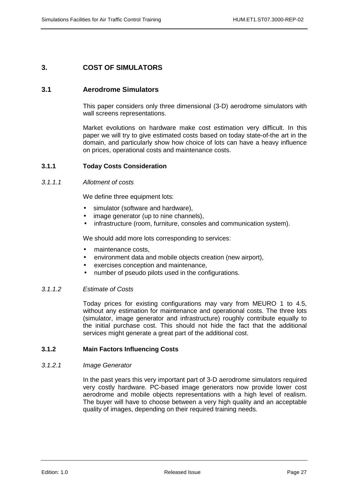## **3. COST OF SIMULATORS**

### **3.1 Aerodrome Simulators**

This paper considers only three dimensional (3-D) aerodrome simulators with wall screens representations.

Market evolutions on hardware make cost estimation very difficult. In this paper we will try to give estimated costs based on today state-of-the art in the domain, and particularly show how choice of lots can have a heavy influence on prices, operational costs and maintenance costs.

#### **3.1.1 Today Costs Consideration**

#### *3.1.1.1 Allotment of costs*

We define three equipment lots:

- simulator (software and hardware),
- image generator (up to nine channels),
- infrastructure (room, furniture, consoles and communication system).

We should add more lots corresponding to services:

- maintenance costs.
- environment data and mobile objects creation (new airport),
- exercises conception and maintenance.
- number of pseudo pilots used in the configurations.

#### *3.1.1.2 Estimate of Costs*

Today prices for existing configurations may vary from MEURO 1 to 4.5, without any estimation for maintenance and operational costs. The three lots (simulator, image generator and infrastructure) roughly contribute equally to the initial purchase cost. This should not hide the fact that the additional services might generate a great part of the additional cost.

## **3.1.2 Main Factors Influencing Costs**

#### *3.1.2.1 Image Generator*

In the past years this very important part of 3-D aerodrome simulators required very costly hardware. PC-based image generators now provide lower cost aerodrome and mobile objects representations with a high level of realism. The buyer will have to choose between a very high quality and an acceptable quality of images, depending on their required training needs.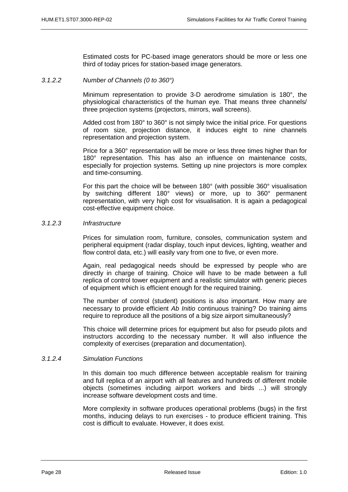Estimated costs for PC-based image generators should be more or less one third of today prices for station-based image generators.

#### *3.1.2.2 Number of Channels (0 to 360°)*

Minimum representation to provide 3-D aerodrome simulation is 180°, the physiological characteristics of the human eye. That means three channels/ three projection systems (projectors, mirrors, wall screens).

Added cost from 180° to 360° is not simply twice the initial price. For questions of room size, projection distance, it induces eight to nine channels representation and projection system.

Price for a 360° representation will be more or less three times higher than for 180° representation. This has also an influence on maintenance costs, especially for projection systems. Setting up nine projectors is more complex and time-consuming.

For this part the choice will be between 180° (with possible 360° visualisation by switching different 180° views) or more, up to 360° permanent representation, with very high cost for visualisation. It is again a pedagogical cost-effective equipment choice.

#### *3.1.2.3 Infrastructure*

Prices for simulation room, furniture, consoles, communication system and peripheral equipment (radar display, touch input devices, lighting, weather and flow control data, etc.) will easily vary from one to five, or even more.

Again, real pedagogical needs should be expressed by people who are directly in charge of training. Choice will have to be made between a full replica of control tower equipment and a realistic simulator with generic pieces of equipment which is efficient enough for the required training.

The number of control (student) positions is also important. How many are necessary to provide efficient *Ab Initio* continuous training? Do training aims require to reproduce all the positions of a big size airport simultaneously?

This choice will determine prices for equipment but also for pseudo pilots and instructors according to the necessary number. It will also influence the complexity of exercises (preparation and documentation).

#### *3.1.2.4 Simulation Functions*

In this domain too much difference between acceptable realism for training and full replica of an airport with all features and hundreds of different mobile objects (sometimes including airport workers and birds ...) will strongly increase software development costs and time.

More complexity in software produces operational problems (bugs) in the first months, inducing delays to run exercises - to produce efficient training. This cost is difficult to evaluate. However, it does exist.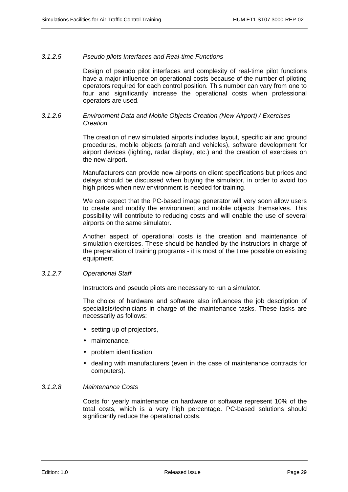#### *3.1.2.5 Pseudo pilots Interfaces and Real-time Functions*

Design of pseudo pilot interfaces and complexity of real-time pilot functions have a major influence on operational costs because of the number of piloting operators required for each control position. This number can vary from one to four and significantly increase the operational costs when professional operators are used.

#### *3.1.2.6 Environment Data and Mobile Objects Creation (New Airport) / Exercises Creation*

The creation of new simulated airports includes layout, specific air and ground procedures, mobile objects (aircraft and vehicles), software development for airport devices (lighting, radar display, etc.) and the creation of exercises on the new airport.

Manufacturers can provide new airports on client specifications but prices and delays should be discussed when buying the simulator, in order to avoid too high prices when new environment is needed for training.

We can expect that the PC-based image generator will very soon allow users to create and modify the environment and mobile objects themselves. This possibility will contribute to reducing costs and will enable the use of several airports on the same simulator.

Another aspect of operational costs is the creation and maintenance of simulation exercises. These should be handled by the instructors in charge of the preparation of training programs - it is most of the time possible on existing equipment.

#### *3.1.2.7 Operational Staff*

Instructors and pseudo pilots are necessary to run a simulator.

The choice of hardware and software also influences the job description of specialists/technicians in charge of the maintenance tasks. These tasks are necessarily as follows:

- setting up of projectors,
- maintenance,
- problem identification,
- dealing with manufacturers (even in the case of maintenance contracts for computers).

#### *3.1.2.8 Maintenance Costs*

Costs for yearly maintenance on hardware or software represent 10% of the total costs, which is a very high percentage. PC-based solutions should significantly reduce the operational costs.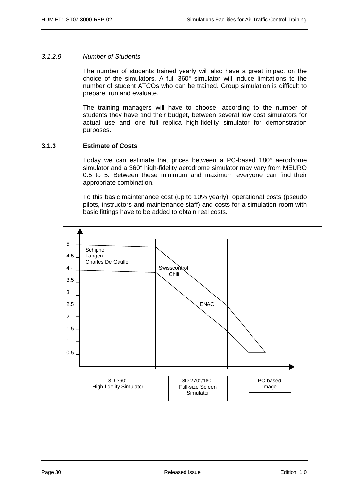## *3.1.2.9 Number of Students*

The number of students trained yearly will also have a great impact on the choice of the simulators. A full 360° simulator will induce limitations to the number of student ATCOs who can be trained. Group simulation is difficult to prepare, run and evaluate.

The training managers will have to choose, according to the number of students they have and their budget, between several low cost simulators for actual use and one full replica high-fidelity simulator for demonstration purposes.

## **3.1.3 Estimate of Costs**

Today we can estimate that prices between a PC-based 180° aerodrome simulator and a 360° high-fidelity aerodrome simulator may vary from MEURO 0.5 to 5. Between these minimum and maximum everyone can find their appropriate combination.

To this basic maintenance cost (up to 10% yearly), operational costs (pseudo pilots, instructors and maintenance staff) and costs for a simulation room with basic fittings have to be added to obtain real costs.

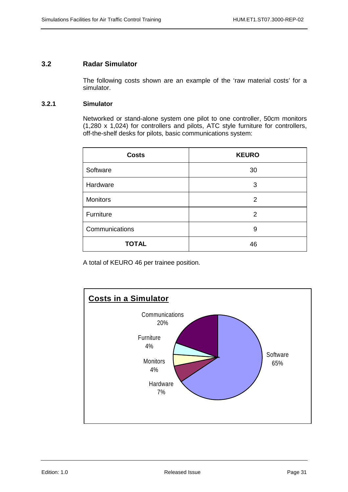# **3.2 Radar Simulator**

The following costs shown are an example of the 'raw material costs' for a simulator.

### **3.2.1 Simulator**

Networked or stand-alone system one pilot to one controller, 50cm monitors (1,280 x 1,024) for controllers and pilots, ATC style furniture for controllers, off-the-shelf desks for pilots, basic communications system:

| <b>Costs</b>    | <b>KEURO</b> |
|-----------------|--------------|
| Software        | 30           |
| Hardware        | 3            |
| <b>Monitors</b> | 2            |
| Furniture       | 2            |
| Communications  | 9            |
| <b>TOTAL</b>    | 46           |

A total of KEURO 46 per trainee position.

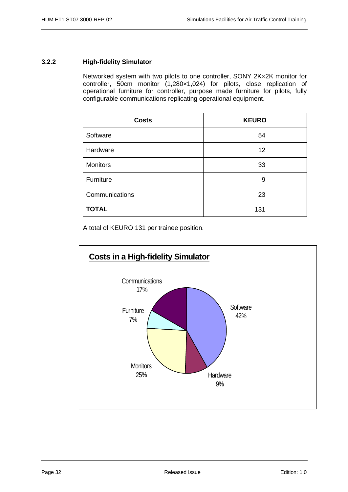# **3.2.2 High-fidelity Simulator**

Networked system with two pilots to one controller, SONY 2K×2K monitor for controller, 50cm monitor (1,280×1,024) for pilots, close replication of operational furniture for controller, purpose made furniture for pilots, fully configurable communications replicating operational equipment.

| <b>Costs</b>    | <b>KEURO</b> |
|-----------------|--------------|
| Software        | 54           |
| Hardware        | 12           |
| <b>Monitors</b> | 33           |
| Furniture       | 9            |
| Communications  | 23           |
| <b>TOTAL</b>    | 131          |

A total of KEURO 131 per trainee position.

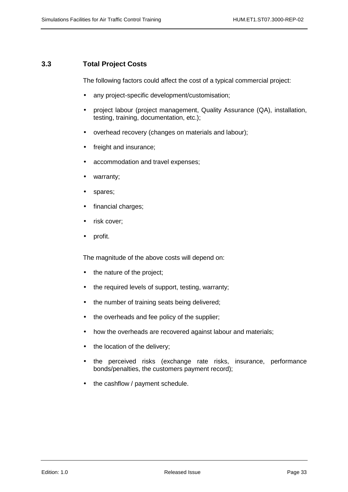## **3.3 Total Project Costs**

The following factors could affect the cost of a typical commercial project:

- any project-specific development/customisation;
- project labour (project management, Quality Assurance (QA), installation, testing, training, documentation, etc.);
- overhead recovery (changes on materials and labour);
- freight and insurance;
- accommodation and travel expenses;
- warranty;
- spares;
- financial charges;
- risk cover;
- profit.

The magnitude of the above costs will depend on:

- the nature of the project;
- the required levels of support, testing, warranty;
- the number of training seats being delivered;
- the overheads and fee policy of the supplier;
- how the overheads are recovered against labour and materials;
- the location of the delivery;
- the perceived risks (exchange rate risks, insurance, performance bonds/penalties, the customers payment record);
- the cashflow / payment schedule.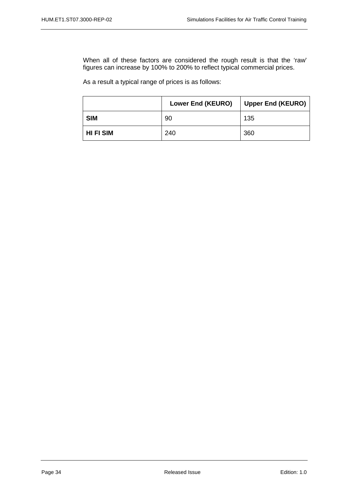When all of these factors are considered the rough result is that the 'raw' figures can increase by 100% to 200% to reflect typical commercial prices.

As a result a typical range of prices is as follows:

|                  | <b>Lower End (KEURO)</b> | Upper End (KEURO) |
|------------------|--------------------------|-------------------|
| <b>SIM</b>       | 90                       | 135               |
| <b>HI FI SIM</b> | 240                      | 360               |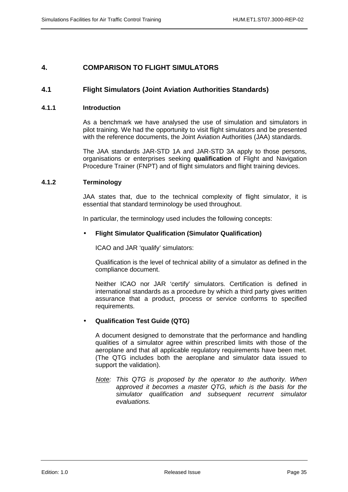# **4. COMPARISON TO FLIGHT SIMULATORS**

# **4.1 Flight Simulators (Joint Aviation Authorities Standards)**

### **4.1.1 Introduction**

As a benchmark we have analysed the use of simulation and simulators in pilot training. We had the opportunity to visit flight simulators and be presented with the reference documents, the Joint Aviation Authorities (JAA) standards.

The JAA standards JAR-STD 1A and JAR-STD 3A apply to those persons, organisations or enterprises seeking **qualification** of Flight and Navigation Procedure Trainer (FNPT) and of flight simulators and flight training devices.

### **4.1.2 Terminology**

JAA states that, due to the technical complexity of flight simulator, it is essential that standard terminology be used throughout.

In particular, the terminology used includes the following concepts:

### • **Flight Simulator Qualification (Simulator Qualification)**

ICAO and JAR 'qualify' simulators:

Qualification is the level of technical ability of a simulator as defined in the compliance document.

Neither ICAO nor JAR 'certify' simulators. Certification is defined in international standards as a procedure by which a third party gives written assurance that a product, process or service conforms to specified requirements.

## • **Qualification Test Guide (QTG)**

A document designed to demonstrate that the performance and handling qualities of a simulator agree within prescribed limits with those of the aeroplane and that all applicable regulatory requirements have been met. (The QTG includes both the aeroplane and simulator data issued to support the validation).

*Note: This QTG is proposed by the operator to the authority. When approved it becomes a master QTG, which is the basis for the simulator qualification and subsequent recurrent simulator evaluations.*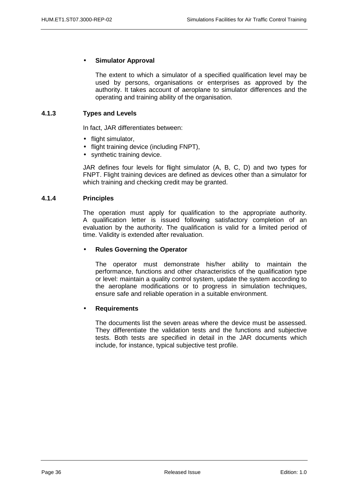### • **Simulator Approval**

The extent to which a simulator of a specified qualification level may be used by persons, organisations or enterprises as approved by the authority. It takes account of aeroplane to simulator differences and the operating and training ability of the organisation.

### **4.1.3 Types and Levels**

In fact, JAR differentiates between:

- flight simulator,
- flight training device (including FNPT),
- synthetic training device.

JAR defines four levels for flight simulator (A, B, C, D) and two types for FNPT. Flight training devices are defined as devices other than a simulator for which training and checking credit may be granted.

### **4.1.4 Principles**

The operation must apply for qualification to the appropriate authority. A qualification letter is issued following satisfactory completion of an evaluation by the authority. The qualification is valid for a limited period of time. Validity is extended after revaluation.

### • **Rules Governing the Operator**

The operator must demonstrate his/her ability to maintain the performance, functions and other characteristics of the qualification type or level: maintain a quality control system, update the system according to the aeroplane modifications or to progress in simulation techniques, ensure safe and reliable operation in a suitable environment.

### • **Requirements**

The documents list the seven areas where the device must be assessed. They differentiate the validation tests and the functions and subjective tests. Both tests are specified in detail in the JAR documents which include, for instance, typical subjective test profile.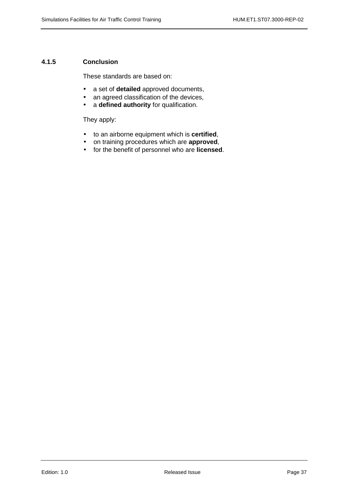# **4.1.5 Conclusion**

These standards are based on:

- a set of **detailed** approved documents,
- an agreed classification of the devices,
- a **defined authority** for qualification.

They apply:

- to an airborne equipment which is **certified**,
- on training procedures which are **approved**,
- for the benefit of personnel who are **licensed**.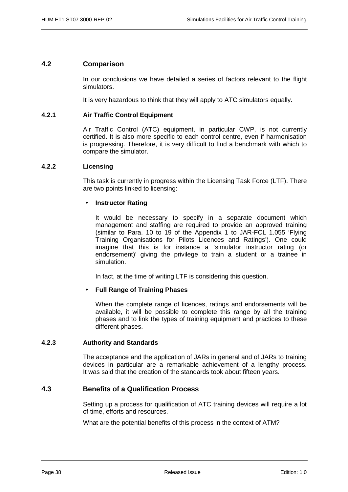### **4.2 Comparison**

In our conclusions we have detailed a series of factors relevant to the flight simulators.

It is very hazardous to think that they will apply to ATC simulators equally.

### **4.2.1 Air Traffic Control Equipment**

Air Traffic Control (ATC) equipment, in particular CWP, is not currently certified. It is also more specific to each control centre, even if harmonisation is progressing. Therefore, it is very difficult to find a benchmark with which to compare the simulator.

### **4.2.2 Licensing**

This task is currently in progress within the Licensing Task Force (LTF). There are two points linked to licensing:

### • **Instructor Rating**

It would be necessary to specify in a separate document which management and staffing are required to provide an approved training (similar to Para. 10 to 19 of the Appendix 1 to JAR-FCL 1.055 'Flying Training Organisations for Pilots Licences and Ratings'). One could imagine that this is for instance a 'simulator instructor rating (or endorsement)' giving the privilege to train a student or a trainee in simulation.

In fact, at the time of writing LTF is considering this question.

### • **Full Range of Training Phases**

When the complete range of licences, ratings and endorsements will be available, it will be possible to complete this range by all the training phases and to link the types of training equipment and practices to these different phases.

### **4.2.3 Authority and Standards**

The acceptance and the application of JARs in general and of JARs to training devices in particular are a remarkable achievement of a lengthy process. It was said that the creation of the standards took about fifteen years.

### **4.3 Benefits of a Qualification Process**

Setting up a process for qualification of ATC training devices will require a lot of time, efforts and resources.

What are the potential benefits of this process in the context of ATM?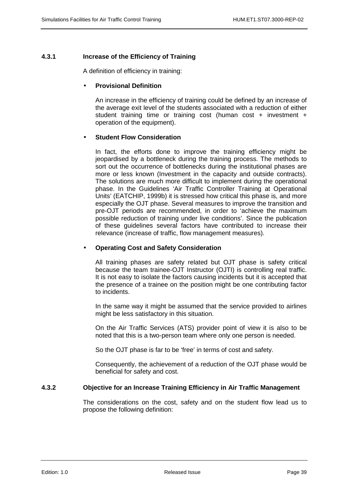### **4.3.1 Increase of the Efficiency of Training**

A definition of efficiency in training:

### • **Provisional Definition**

An increase in the efficiency of training could be defined by an increase of the average exit level of the students associated with a reduction of either student training time or training cost (human cost + investment + operation of the equipment).

### **Student Flow Consideration**

In fact, the efforts done to improve the training efficiency might be jeopardised by a bottleneck during the training process. The methods to sort out the occurrence of bottlenecks during the institutional phases are more or less known (Investment in the capacity and outside contracts). The solutions are much more difficult to implement during the operational phase. In the Guidelines 'Air Traffic Controller Training at Operational Units' (EATCHIP, 1999b) it is stressed how critical this phase is, and more especially the OJT phase. Several measures to improve the transition and pre-OJT periods are recommended, in order to 'achieve the maximum possible reduction of training under live conditions'. Since the publication of these guidelines several factors have contributed to increase their relevance (increase of traffic, flow management measures).

### • **Operating Cost and Safety Consideration**

All training phases are safety related but OJT phase is safety critical because the team trainee-OJT Instructor (OJTI) is controlling real traffic. It is not easy to isolate the factors causing incidents but it is accepted that the presence of a trainee on the position might be one contributing factor to incidents.

In the same way it might be assumed that the service provided to airlines might be less satisfactory in this situation.

On the Air Traffic Services (ATS) provider point of view it is also to be noted that this is a two-person team where only one person is needed.

So the OJT phase is far to be 'free' in terms of cost and safety.

Consequently, the achievement of a reduction of the OJT phase would be beneficial for safety and cost.

### **4.3.2 Objective for an Increase Training Efficiency in Air Traffic Management**

The considerations on the cost, safety and on the student flow lead us to propose the following definition: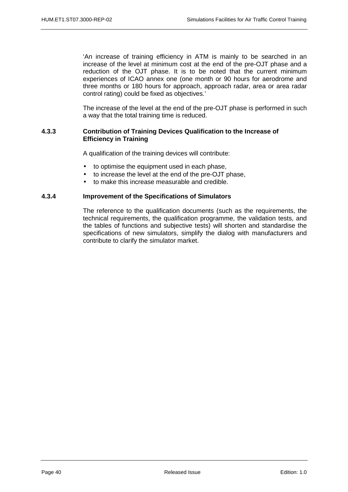'An increase of training efficiency in ATM is mainly to be searched in an increase of the level at minimum cost at the end of the pre-OJT phase and a reduction of the OJT phase. It is to be noted that the current minimum experiences of ICAO annex one (one month or 90 hours for aerodrome and three months or 180 hours for approach, approach radar, area or area radar control rating) could be fixed as objectives.'

The increase of the level at the end of the pre-OJT phase is performed in such a way that the total training time is reduced.

## **4.3.3 Contribution of Training Devices Qualification to the Increase of Efficiency in Training**

A qualification of the training devices will contribute:

- to optimise the equipment used in each phase,
- to increase the level at the end of the pre-OJT phase,
- to make this increase measurable and credible.

### **4.3.4 Improvement of the Specifications of Simulators**

The reference to the qualification documents (such as the requirements, the technical requirements, the qualification programme, the validation tests, and the tables of functions and subjective tests) will shorten and standardise the specifications of new simulators, simplify the dialog with manufacturers and contribute to clarify the simulator market.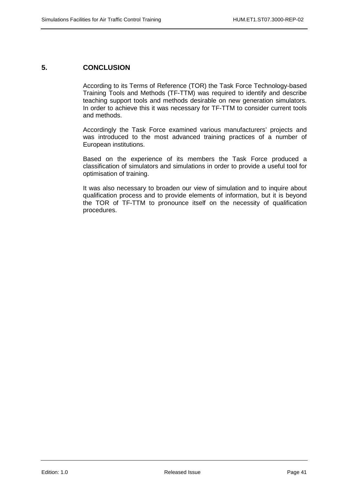### **5. CONCLUSION**

According to its Terms of Reference (TOR) the Task Force Technology-based Training Tools and Methods (TF-TTM) was required to identify and describe teaching support tools and methods desirable on new generation simulators. In order to achieve this it was necessary for TF-TTM to consider current tools and methods.

Accordingly the Task Force examined various manufacturers' projects and was introduced to the most advanced training practices of a number of European institutions.

Based on the experience of its members the Task Force produced a classification of simulators and simulations in order to provide a useful tool for optimisation of training.

It was also necessary to broaden our view of simulation and to inquire about qualification process and to provide elements of information, but it is beyond the TOR of TF-TTM to pronounce itself on the necessity of qualification procedures.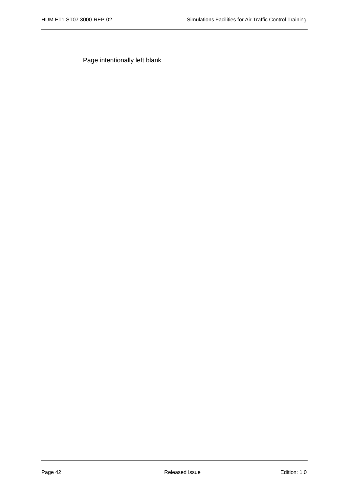Page intentionally left blank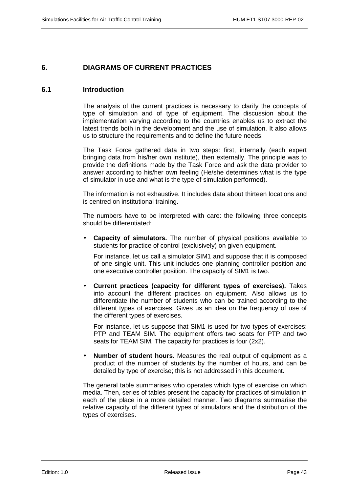# **6. DIAGRAMS OF CURRENT PRACTICES**

## **6.1 Introduction**

The analysis of the current practices is necessary to clarify the concepts of type of simulation and of type of equipment. The discussion about the implementation varying according to the countries enables us to extract the latest trends both in the development and the use of simulation. It also allows us to structure the requirements and to define the future needs.

The Task Force gathered data in two steps: first, internally (each expert bringing data from his/her own institute), then externally. The principle was to provide the definitions made by the Task Force and ask the data provider to answer according to his/her own feeling (He/she determines what is the type of simulator in use and what is the type of simulation performed).

The information is not exhaustive. It includes data about thirteen locations and is centred on institutional training.

The numbers have to be interpreted with care: the following three concepts should be differentiated:

• **Capacity of simulators.** The number of physical positions available to students for practice of control (exclusively) on given equipment.

For instance, let us call a simulator SIM1 and suppose that it is composed of one single unit. This unit includes one planning controller position and one executive controller position. The capacity of SIM1 is two.

• **Current practices (capacity for different types of exercises).** Takes into account the different practices on equipment. Also allows us to differentiate the number of students who can be trained according to the different types of exercises. Gives us an idea on the frequency of use of the different types of exercises.

For instance, let us suppose that SIM1 is used for two types of exercises: PTP and TEAM SIM. The equipment offers two seats for PTP and two seats for TEAM SIM. The capacity for practices is four (2x2).

• **Number of student hours.** Measures the real output of equipment as a product of the number of students by the number of hours, and can be detailed by type of exercise; this is not addressed in this document.

The general table summarises who operates which type of exercise on which media. Then, series of tables present the capacity for practices of simulation in each of the place in a more detailed manner. Two diagrams summarise the relative capacity of the different types of simulators and the distribution of the types of exercises.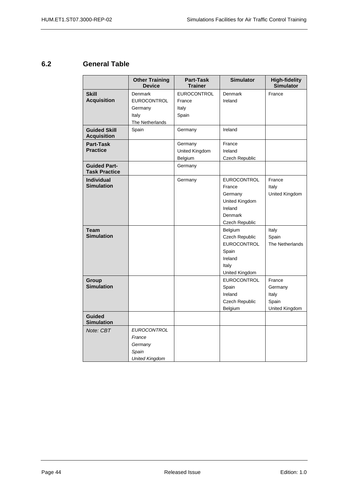# **6.2 General Table**

|                                             | <b>Other Training</b><br><b>Device</b>                                    | <b>Part-Task</b><br><b>Trainer</b>             | <b>Simulator</b>                                                                                         | <b>High-fidelity</b><br><b>Simulator</b>              |
|---------------------------------------------|---------------------------------------------------------------------------|------------------------------------------------|----------------------------------------------------------------------------------------------------------|-------------------------------------------------------|
| <b>Skill</b><br><b>Acquisition</b>          | Denmark<br><b>EUROCONTROL</b><br>Germany<br>Italy<br>The Netherlands      | <b>EUROCONTROL</b><br>France<br>Italy<br>Spain | Denmark<br>Ireland                                                                                       | France                                                |
| <b>Guided Skill</b><br><b>Acquisition</b>   | Spain                                                                     | Germany                                        | Ireland                                                                                                  |                                                       |
| <b>Part-Task</b><br><b>Practice</b>         |                                                                           | Germany<br>United Kingdom<br>Belgium           | France<br>Ireland<br>Czech Republic                                                                      |                                                       |
| <b>Guided Part-</b><br><b>Task Practice</b> |                                                                           | Germany                                        |                                                                                                          |                                                       |
| <b>Individual</b><br><b>Simulation</b>      |                                                                           | Germany                                        | <b>EUROCONTROL</b><br>France<br>Germany<br>United Kingdom<br>Ireland<br>Denmark<br><b>Czech Republic</b> | France<br>Italy<br>United Kingdom                     |
| <b>Team</b><br><b>Simulation</b>            |                                                                           |                                                | Belgium<br>Czech Republic<br><b>EUROCONTROL</b><br>Spain<br>Ireland<br>Italy<br>United Kingdom           | Italy<br>Spain<br>The Netherlands                     |
| Group<br><b>Simulation</b>                  |                                                                           |                                                | EUROCONTROL<br>Spain<br>Ireland<br>Czech Republic<br>Belgium                                             | France<br>Germany<br>Italy<br>Spain<br>United Kingdom |
| <b>Guided</b><br><b>Simulation</b>          |                                                                           |                                                |                                                                                                          |                                                       |
| Note: CBT                                   | <b>EUROCONTROL</b><br>France<br>Germany<br>Spain<br><b>United Kingdom</b> |                                                |                                                                                                          |                                                       |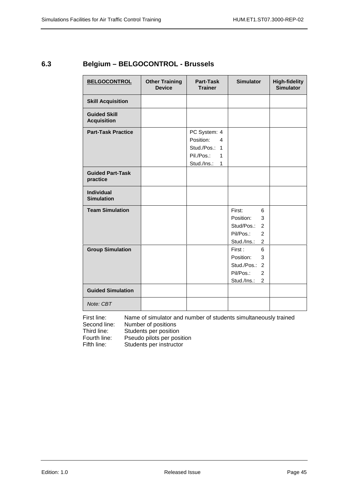# **6.3 Belgium – BELGOCONTROL - Brussels**

| <b>BELGOCONTROL</b>                       | <b>Other Training</b><br><b>Device</b> | <b>Part-Task</b><br><b>Trainer</b>                                                                              | <b>Simulator</b>                                                                                                              | <b>High-fidelity</b><br><b>Simulator</b> |
|-------------------------------------------|----------------------------------------|-----------------------------------------------------------------------------------------------------------------|-------------------------------------------------------------------------------------------------------------------------------|------------------------------------------|
| <b>Skill Acquisition</b>                  |                                        |                                                                                                                 |                                                                                                                               |                                          |
| <b>Guided Skill</b><br><b>Acquisition</b> |                                        |                                                                                                                 |                                                                                                                               |                                          |
| <b>Part-Task Practice</b>                 |                                        | PC System: 4<br>Position:<br>4<br>Stud./Pos.:<br>$\mathbf{1}$<br>Pil./Pos.:<br>$\mathbf{1}$<br>Stud./Ins.:<br>1 |                                                                                                                               |                                          |
| <b>Guided Part-Task</b><br>practice       |                                        |                                                                                                                 |                                                                                                                               |                                          |
| <b>Individual</b><br><b>Simulation</b>    |                                        |                                                                                                                 |                                                                                                                               |                                          |
| <b>Team Simulation</b>                    |                                        |                                                                                                                 | First:<br>6<br>Position:<br>3<br>Stud/Pos.:<br>$\overline{2}$<br>Pil/Pos.:<br>$\overline{2}$<br>$\overline{2}$<br>Stud./Ins.: |                                          |
| <b>Group Simulation</b>                   |                                        |                                                                                                                 | 6<br>First:<br>Position:<br>3<br>Stud./Pos.:<br>2<br>Pil/Pos.:<br>2<br>Stud./Ins.:<br>$\overline{2}$                          |                                          |
| <b>Guided Simulation</b>                  |                                        |                                                                                                                 |                                                                                                                               |                                          |
| Note: CBT                                 |                                        |                                                                                                                 |                                                                                                                               |                                          |

First line: Name of simulator and number of students simultaneously trained<br>Second line: Number of positions Number of positions Third line: Students per position Fourth line: Pseudo pilots per position Fifth line: Students per instructor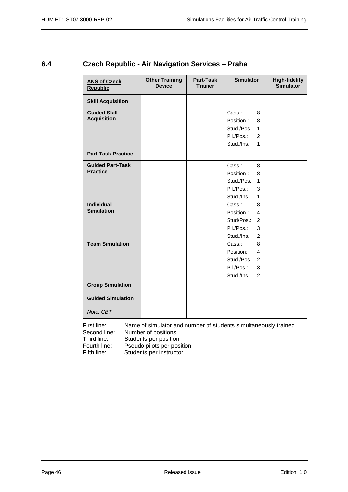# **6.4 Czech Republic - Air Navigation Services – Praha**

| <b>ANS of Czech</b><br><b>Republic</b>     | <b>Other Training</b><br><b>Device</b> | Part-Task<br><b>Trainer</b> | <b>Simulator</b>                                                                                                   | <b>High-fidelity</b><br><b>Simulator</b> |
|--------------------------------------------|----------------------------------------|-----------------------------|--------------------------------------------------------------------------------------------------------------------|------------------------------------------|
| <b>Skill Acquisition</b>                   |                                        |                             |                                                                                                                    |                                          |
| <b>Guided Skill</b><br><b>Acquisition</b>  |                                        |                             | Cass.:<br>8<br>Position:<br>8<br>Stud./Pos.:<br>$\mathbf{1}$<br>Pil./Pos.:<br>2<br>Stud./Ins.:<br>1                |                                          |
| <b>Part-Task Practice</b>                  |                                        |                             |                                                                                                                    |                                          |
| <b>Guided Part-Task</b><br><b>Practice</b> |                                        |                             | Cass.:<br>8<br>Position:<br>8<br>Stud./Pos.:<br>$\mathbf{1}$<br>Pil./Pos.:<br>3<br>Stud./Ins.:<br>$\mathbf{1}$     |                                          |
| <b>Individual</b><br><b>Simulation</b>     |                                        |                             | Cass.:<br>8<br>Position:<br>$\overline{4}$<br>Stud/Pos.:<br>2<br>Pil./Pos.:<br>3<br>Stud./Ins.:<br>$\overline{c}$  |                                          |
| <b>Team Simulation</b>                     |                                        |                             | Cass.:<br>8<br>Position:<br>$\overline{4}$<br>Stud./Pos.:<br>$\overline{2}$<br>Pil./Pos.:<br>3<br>Stud./Ins.:<br>2 |                                          |
| <b>Group Simulation</b>                    |                                        |                             |                                                                                                                    |                                          |
| <b>Guided Simulation</b>                   |                                        |                             |                                                                                                                    |                                          |
| Note: CBT                                  |                                        |                             |                                                                                                                    |                                          |

First line: Name of simulator and number of students simultaneously trained<br>Second line: Number of positions Second line: Number of positions<br>Third line: Students per position Third line: Students per position<br>Fourth line: Pseudo pilots per pos Fourth line: Pseudo pilots per position Fifth line: Students per instructor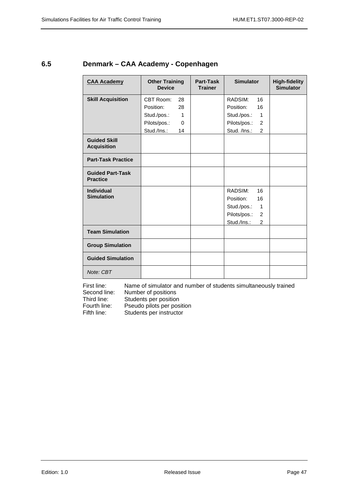# **6.5 Denmark – CAA Academy - Copenhagen**

| <b>CAA Academy</b>                         | <b>Other Training</b><br><b>Device</b>                                      | Part-Task<br><b>Trainer</b> | <b>Simulator</b>                                                                              | <b>High-fidelity</b><br><b>Simulator</b> |
|--------------------------------------------|-----------------------------------------------------------------------------|-----------------------------|-----------------------------------------------------------------------------------------------|------------------------------------------|
| <b>Skill Acquisition</b>                   | CBT Room:<br>28<br>Position:<br>28<br>Stud./pos.:<br>1<br>Pilots/pos.:<br>0 |                             | RADSIM:<br>16<br>Position:<br>16<br>Stud./pos.:<br>$\mathbf{1}$<br>Pilots/pos.:<br>2          |                                          |
|                                            | Stud./Ins.:<br>14                                                           |                             | Stud. /Ins.:<br>2                                                                             |                                          |
| <b>Guided Skill</b><br><b>Acquisition</b>  |                                                                             |                             |                                                                                               |                                          |
| <b>Part-Task Practice</b>                  |                                                                             |                             |                                                                                               |                                          |
| <b>Guided Part-Task</b><br><b>Practice</b> |                                                                             |                             |                                                                                               |                                          |
| <b>Individual</b><br><b>Simulation</b>     |                                                                             |                             | RADSIM:<br>16<br>Position:<br>16<br>Stud./pos.:<br>1<br>Pilots/pos.:<br>2<br>Stud./Ins.:<br>2 |                                          |
| <b>Team Simulation</b>                     |                                                                             |                             |                                                                                               |                                          |
| <b>Group Simulation</b>                    |                                                                             |                             |                                                                                               |                                          |
| <b>Guided Simulation</b>                   |                                                                             |                             |                                                                                               |                                          |
| Note: CBT                                  |                                                                             |                             |                                                                                               |                                          |

First line: Name of simulator and number of students simultaneously trained<br>Second line: Number of positions Second line: Number of positions<br>Third line: Students per position Third line: Students per position<br>Fourth line: Pseudo pilots per pos Fourth line: Pseudo pilots per position Fifth line: Students per instructor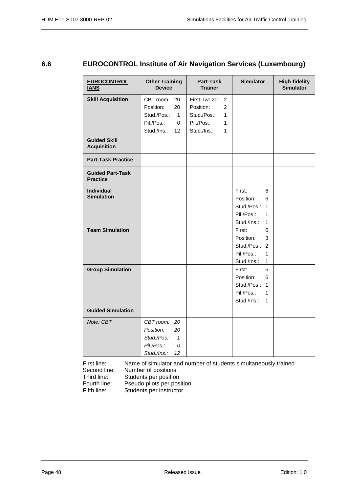# **6.6 EUROCONTROL Institute of Air Navigation Services (Luxembourg)**

| <b>EUROCONTROL</b><br><b>IANS</b>          | <b>Other Training</b><br><b>Device</b> | <b>Part-Task</b><br><b>Trainer</b> | <b>Simulator</b>              | <b>High-fidelity</b><br><b>Simulator</b> |
|--------------------------------------------|----------------------------------------|------------------------------------|-------------------------------|------------------------------------------|
| <b>Skill Acquisition</b>                   | CBT room: 20                           | First Twr 2d:<br>2                 |                               |                                          |
|                                            | Position:<br>20                        | Position:<br>$\overline{2}$        |                               |                                          |
|                                            | Stud./Pos.:<br>$\mathbf{1}$            | Stud./Pos.:<br>1                   |                               |                                          |
|                                            | Pil./Pos.:<br>$\mathbf 0$              | Pil./Pos.:<br>1                    |                               |                                          |
|                                            | Stud./Ins.:<br>12                      | Stud./Ins.:<br>1                   |                               |                                          |
| <b>Guided Skill</b><br><b>Acquisition</b>  |                                        |                                    |                               |                                          |
| <b>Part-Task Practice</b>                  |                                        |                                    |                               |                                          |
| <b>Guided Part-Task</b><br><b>Practice</b> |                                        |                                    |                               |                                          |
| <b>Individual</b>                          |                                        |                                    | First:<br>6                   |                                          |
| <b>Simulation</b>                          |                                        |                                    | Position:<br>6                |                                          |
|                                            |                                        |                                    | Stud./Pos.:<br>1              |                                          |
|                                            |                                        |                                    | Pil./Pos.:<br>1               |                                          |
|                                            |                                        |                                    | Stud./Ins.:<br>1              |                                          |
| <b>Team Simulation</b>                     |                                        |                                    | First:<br>6                   |                                          |
|                                            |                                        |                                    | Position:<br>3                |                                          |
|                                            |                                        |                                    | $\overline{2}$<br>Stud./Pos.: |                                          |
|                                            |                                        |                                    | Pil./Pos.:<br>1               |                                          |
|                                            |                                        |                                    | Stud./Ins.:<br>1              |                                          |
| <b>Group Simulation</b>                    |                                        |                                    | First:<br>6                   |                                          |
|                                            |                                        |                                    | Position:<br>6                |                                          |
|                                            |                                        |                                    | Stud./Pos.:<br>$\mathbf{1}$   |                                          |
|                                            |                                        |                                    | Pil./Pos.:<br>1               |                                          |
|                                            |                                        |                                    | Stud./Ins.:<br>$\mathbf{1}$   |                                          |
| <b>Guided Simulation</b>                   |                                        |                                    |                               |                                          |
| Note: CBT                                  | CBT room: 20                           |                                    |                               |                                          |
|                                            | 20<br>Position:                        |                                    |                               |                                          |
|                                            | Stud./Pos.:<br>1                       |                                    |                               |                                          |
|                                            | Pil./Pos.:<br>0                        |                                    |                               |                                          |
|                                            | Stud./Ins.:<br>12                      |                                    |                               |                                          |

First line: Name of simulator and number of students simultaneously trained<br>Second line: Number of positions Second line: Number of positions<br>Third line: Students per position Third line: Students per position<br>Fourth line: Pseudo pilots per pos **Pseudo pilots per position** Fifth line: Students per instructor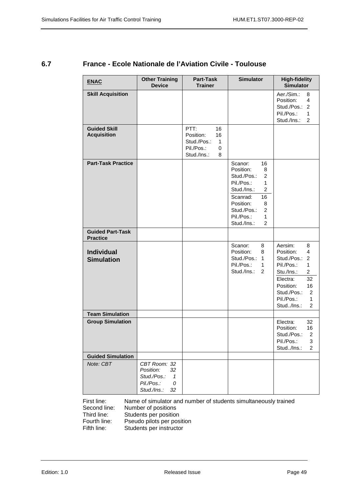# **6.7 France - Ecole Nationale de l'Aviation Civile - Toulouse**

| <b>ENAC</b>                                | <b>Other Training</b><br><b>Device</b>                                                      | <b>Part-Task</b><br><b>Trainer</b>                                                                  | <b>Simulator</b>                                                                                                                                                                                                                 | <b>High-fidelity</b><br><b>Simulator</b>                                                                                                                                                                          |  |
|--------------------------------------------|---------------------------------------------------------------------------------------------|-----------------------------------------------------------------------------------------------------|----------------------------------------------------------------------------------------------------------------------------------------------------------------------------------------------------------------------------------|-------------------------------------------------------------------------------------------------------------------------------------------------------------------------------------------------------------------|--|
| <b>Skill Acquisition</b>                   |                                                                                             |                                                                                                     |                                                                                                                                                                                                                                  | Aer./Sim.:<br>8<br>Position:<br>4<br>Stud./Pos.:<br>2<br>Pil./Pos.:<br>1<br>Stud./Ins.:<br>$\overline{2}$                                                                                                         |  |
| <b>Guided Skill</b><br><b>Acquisition</b>  |                                                                                             | PTT:<br>16<br>Position:<br>16<br>Stud./Pos.:<br>$\mathbf{1}$<br>Pil./Pos.:<br>0<br>Stud./Ins.:<br>8 |                                                                                                                                                                                                                                  |                                                                                                                                                                                                                   |  |
| <b>Part-Task Practice</b>                  |                                                                                             |                                                                                                     | Scanor:<br>16<br>Position:<br>8<br>Stud./Pos.:<br>$\overline{2}$<br>Pil./Pos.:<br>1<br>Stud./Ins.:<br>2<br>Scanrad:<br>16<br>Position:<br>8<br>Stud./Pos.:<br>$\overline{2}$<br>Pil./Pos.:<br>1<br>Stud./Ins.:<br>$\overline{2}$ |                                                                                                                                                                                                                   |  |
| <b>Guided Part-Task</b><br><b>Practice</b> |                                                                                             |                                                                                                     |                                                                                                                                                                                                                                  |                                                                                                                                                                                                                   |  |
| <b>Individual</b><br><b>Simulation</b>     |                                                                                             |                                                                                                     | Scanor:<br>8<br>Position:<br>8<br>Stud./Pos.:<br>1<br>Pil./Pos.:<br>1<br>Stud./Ins.:<br>2                                                                                                                                        | Aersim:<br>8<br>Position:<br>4<br>Stud./Pos.:<br>2<br>Pil./Pos.:<br>1<br>$\overline{2}$<br>Stu./Ins.:<br>32<br>Electra:<br>Position:<br>16<br>Stud./Pos.:<br>2<br>Pil./Pos.:<br>1<br>Stud/Ins.:<br>$\overline{2}$ |  |
| <b>Team Simulation</b>                     |                                                                                             |                                                                                                     |                                                                                                                                                                                                                                  |                                                                                                                                                                                                                   |  |
| <b>Group Simulation</b>                    |                                                                                             |                                                                                                     |                                                                                                                                                                                                                                  | Electra:<br>32<br>Position:<br>16<br>Stud./Pos.:<br>$\overline{c}$<br>Pil./Pos.:<br>3<br>Stud/Ins.:<br>$\overline{2}$                                                                                             |  |
| <b>Guided Simulation</b>                   |                                                                                             |                                                                                                     |                                                                                                                                                                                                                                  |                                                                                                                                                                                                                   |  |
| Note: CBT                                  | CBT Room: 32<br>Position:<br>32<br>Stud./Pos.:<br>1<br>Pil./Pos.:<br>0<br>Stud./Ins.:<br>32 |                                                                                                     |                                                                                                                                                                                                                                  |                                                                                                                                                                                                                   |  |
| First line:                                | Name of simulator and number of students simultaneously trained                             |                                                                                                     |                                                                                                                                                                                                                                  |                                                                                                                                                                                                                   |  |

Second line: Number of positions

Third line: Students per position

Fourth line: Pseudo pilots per position

Fifth line: Students per instructor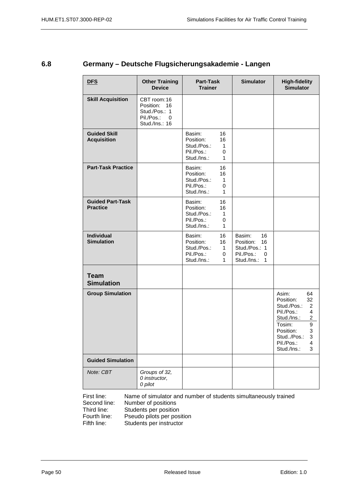# **6.8 Germany – Deutsche Flugsicherungsakademie - Langen**

| <b>DFS</b>                                 | <b>Other Training</b><br><b>Device</b>                                                          | <b>Part-Task</b><br><b>Trainer</b>                                                         | <b>Simulator</b>                                                                                   | <b>High-fidelity</b><br><b>Simulator</b>                                                                                                                                                                       |
|--------------------------------------------|-------------------------------------------------------------------------------------------------|--------------------------------------------------------------------------------------------|----------------------------------------------------------------------------------------------------|----------------------------------------------------------------------------------------------------------------------------------------------------------------------------------------------------------------|
| <b>Skill Acquisition</b>                   | CBT room: 16<br>Position:<br>16<br>Stud./Pos.: 1<br>Pil./Pos.:<br>$\mathbf 0$<br>Stud./Ins.: 16 |                                                                                            |                                                                                                    |                                                                                                                                                                                                                |
| <b>Guided Skill</b><br><b>Acquisition</b>  |                                                                                                 | Basim:<br>16<br>16<br>Position:<br>Stud./Pos.:<br>1<br>Pil./Pos.:<br>0<br>Stud./Ins.:<br>1 |                                                                                                    |                                                                                                                                                                                                                |
| <b>Part-Task Practice</b>                  |                                                                                                 | 16<br>Basim:<br>16<br>Position:<br>Stud./Pos.:<br>1<br>Pil./Pos.:<br>0<br>Stud./Ins.:<br>1 |                                                                                                    |                                                                                                                                                                                                                |
| <b>Guided Part-Task</b><br><b>Practice</b> |                                                                                                 | 16<br>Basim:<br>Position:<br>16<br>Stud./Pos.:<br>1<br>Pil./Pos.:<br>0<br>Stud./Ins.:<br>1 |                                                                                                    |                                                                                                                                                                                                                |
| <b>Individual</b><br><b>Simulation</b>     |                                                                                                 | Basim:<br>16<br>Position:<br>16<br>Stud./Pos.:<br>1<br>Pil./Pos.:<br>0<br>Stud./Ins.:<br>1 | Basim:<br>16<br>Position:<br>16<br>Stud./Pos.: 1<br>Pil./Pos.:<br>0<br>Stud./Ins.:<br>$\mathbf{1}$ |                                                                                                                                                                                                                |
| <b>Team</b><br><b>Simulation</b>           |                                                                                                 |                                                                                            |                                                                                                    |                                                                                                                                                                                                                |
| <b>Group Simulation</b>                    |                                                                                                 |                                                                                            |                                                                                                    | 64<br>Asim:<br>32<br>Position:<br>Stud./Pos.:<br>$\overline{2}$<br>Pil./Pos.:<br>4<br>$\overline{c}$<br>Stud./Ins.:<br>9<br>Tosim:<br>3<br>Position:<br>Stud/Pos.:<br>3<br>Pil./Pos.:<br>4<br>Stud./Ins.:<br>3 |
| <b>Guided Simulation</b>                   |                                                                                                 |                                                                                            |                                                                                                    |                                                                                                                                                                                                                |
| Note: CBT                                  | Groups of 32,<br>0 instructor,<br>0 pilot                                                       |                                                                                            |                                                                                                    |                                                                                                                                                                                                                |

First line: Name of simulator and number of students simultaneously trained<br>Second line: Number of positions Number of positions Third line: Students per position<br>Fourth line: Pseudo pilots per pos Fourth line: Pseudo pilots per position Fifth line: Students per instructor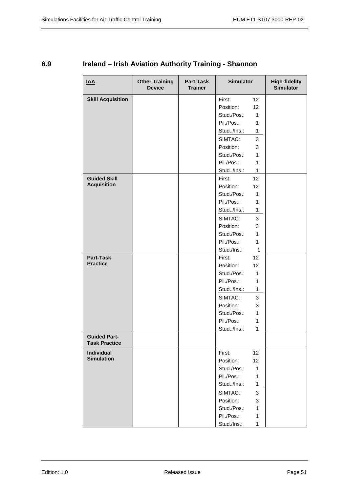# **6.9 Ireland – Irish Aviation Authority Training - Shannon**

| <b>IAA</b>                                  | <b>Other Training</b><br><b>Device</b> | Part-Task<br><b>Trainer</b> | <b>Simulator</b>            | <b>High-fidelity</b><br><b>Simulator</b> |
|---------------------------------------------|----------------------------------------|-----------------------------|-----------------------------|------------------------------------------|
| <b>Skill Acquisition</b>                    |                                        |                             | First:<br>12                |                                          |
|                                             |                                        |                             | Position:<br>12             |                                          |
|                                             |                                        |                             | Stud./Pos.:<br>1            |                                          |
|                                             |                                        |                             | Pil./Pos.:<br>1             |                                          |
|                                             |                                        |                             | Stud/Ins.:<br>$\mathbf{1}$  |                                          |
|                                             |                                        |                             | SIMTAC:<br>3                |                                          |
|                                             |                                        |                             | Position:<br>3              |                                          |
|                                             |                                        |                             | Stud./Pos.:<br>1            |                                          |
|                                             |                                        |                             | Pil./Pos.:<br>1             |                                          |
|                                             |                                        |                             | Stud/Ins.:<br>$\mathbf{1}$  |                                          |
| <b>Guided Skill</b>                         |                                        |                             | First:<br>12                |                                          |
| <b>Acquisition</b>                          |                                        |                             | Position:<br>12             |                                          |
|                                             |                                        |                             | Stud./Pos.:<br>$\mathbf{1}$ |                                          |
|                                             |                                        |                             | Pil./Pos.:<br>$\mathbf{1}$  |                                          |
|                                             |                                        |                             | Stud/Ins.:<br>1             |                                          |
|                                             |                                        |                             | SIMTAC:<br>3                |                                          |
|                                             |                                        |                             | Position:<br>3              |                                          |
|                                             |                                        |                             | Stud./Pos.:<br>1            |                                          |
|                                             |                                        |                             | Pil./Pos.:<br>1             |                                          |
|                                             |                                        |                             | Stud./Ins.:<br>$\mathbf{1}$ |                                          |
| <b>Part-Task</b>                            |                                        |                             | First:<br>12 <sub>2</sub>   |                                          |
| <b>Practice</b>                             |                                        |                             | Position:<br>12             |                                          |
|                                             |                                        |                             | Stud./Pos.:<br>1            |                                          |
|                                             |                                        |                             | Pil./Pos.:<br>1             |                                          |
|                                             |                                        |                             | Stud/Ins.:<br>1             |                                          |
|                                             |                                        |                             | SIMTAC:<br>3                |                                          |
|                                             |                                        |                             | Position:<br>3              |                                          |
|                                             |                                        |                             | Stud./Pos.:<br>$\mathbf{1}$ |                                          |
|                                             |                                        |                             | Pil./Pos.:<br>$\mathbf{1}$  |                                          |
|                                             |                                        |                             | Stud/Ins.:<br>$\mathbf{1}$  |                                          |
| <b>Guided Part-</b><br><b>Task Practice</b> |                                        |                             |                             |                                          |
| <b>Individual</b>                           |                                        |                             | First:<br>12                |                                          |
| <b>Simulation</b>                           |                                        |                             | Position:<br>12             |                                          |
|                                             |                                        |                             | Stud./Pos.:<br>1            |                                          |
|                                             |                                        |                             | Pil./Pos.:<br>$\mathbf{1}$  |                                          |
|                                             |                                        |                             | Stud/Ins.:<br>1             |                                          |
|                                             |                                        |                             | SIMTAC:<br>3                |                                          |
|                                             |                                        |                             | Position:<br>3              |                                          |
|                                             |                                        |                             | Stud./Pos.:<br>1            |                                          |
|                                             |                                        |                             | Pil./Pos.:<br>1             |                                          |
|                                             |                                        |                             | Stud./Ins.:<br>1            |                                          |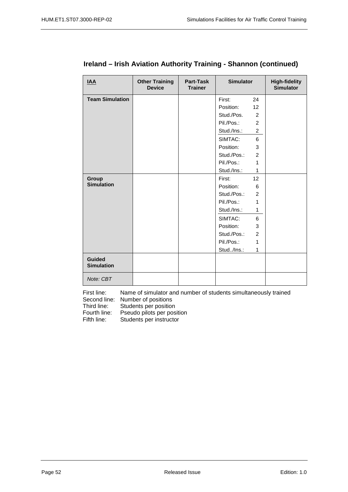| <b>IAA</b>                         | <b>Other Training</b><br><b>Device</b> | <b>Part-Task</b><br><b>Trainer</b> | <b>Simulator</b> |                | <b>High-fidelity</b><br><b>Simulator</b> |
|------------------------------------|----------------------------------------|------------------------------------|------------------|----------------|------------------------------------------|
| <b>Team Simulation</b>             |                                        |                                    | First:           | 24             |                                          |
|                                    |                                        |                                    | Position:        | 12             |                                          |
|                                    |                                        |                                    | Stud./Pos.       | $\overline{2}$ |                                          |
|                                    |                                        |                                    | Pil./Pos.:       | $\overline{2}$ |                                          |
|                                    |                                        |                                    | Stud./Ins.:      | $\overline{2}$ |                                          |
|                                    |                                        |                                    | SIMTAC:          | 6              |                                          |
|                                    |                                        |                                    | Position:        | 3              |                                          |
|                                    |                                        |                                    | Stud./Pos.:      | $\overline{2}$ |                                          |
|                                    |                                        |                                    | Pil./Pos.:       | 1              |                                          |
|                                    |                                        |                                    | Stud./Ins.:      | 1              |                                          |
| Group                              |                                        |                                    | First:           | 12             |                                          |
| <b>Simulation</b>                  |                                        |                                    | Position:        | 6              |                                          |
|                                    |                                        |                                    | Stud./Pos.:      | $\overline{2}$ |                                          |
|                                    |                                        |                                    | Pil./Pos.:       | $\mathbf{1}$   |                                          |
|                                    |                                        |                                    | Stud./Ins.:      | 1              |                                          |
|                                    |                                        |                                    | SIMTAC:          | 6              |                                          |
|                                    |                                        |                                    | Position:        | 3              |                                          |
|                                    |                                        |                                    | Stud./Pos.:      | $\overline{2}$ |                                          |
|                                    |                                        |                                    | Pil./Pos.:       | 1              |                                          |
|                                    |                                        |                                    | Stud/Ins.:       | 1              |                                          |
| <b>Guided</b><br><b>Simulation</b> |                                        |                                    |                  |                |                                          |
| Note: CBT                          |                                        |                                    |                  |                |                                          |

# **Ireland – Irish Aviation Authority Training - Shannon (continued)**

First line: Name of simulator and number of students simultaneously trained Second line: Number of positions<br>Third line: Students per position Third line: Students per position<br>Fourth line: Pseudo pilots per pos Fourth line: Pseudo pilots per position Fifth line: Students per instructor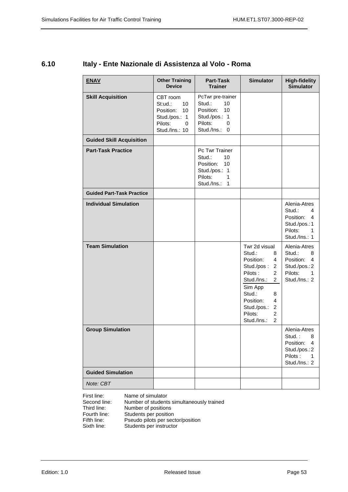# **6.10 Italy - Ente Nazionale di Assistenza al Volo - Roma**

| <b>ENAV</b>                      | <b>Other Training</b><br><b>Device</b>                                                                    | Part-Task<br><b>Trainer</b>                                                                                         | <b>Simulator</b>                                                                                                                                                                                                                                              | <b>High-fidelity</b><br><b>Simulator</b>                                                                    |
|----------------------------------|-----------------------------------------------------------------------------------------------------------|---------------------------------------------------------------------------------------------------------------------|---------------------------------------------------------------------------------------------------------------------------------------------------------------------------------------------------------------------------------------------------------------|-------------------------------------------------------------------------------------------------------------|
| <b>Skill Acquisition</b>         | CBT room<br>St:ud.:<br>10<br>10<br>Position:<br>Stud./pos.: 1<br>Pilots:<br>$\mathbf 0$<br>Stud./Ins.: 10 | PcTwr pre-trainer<br>Stud.:<br>10<br>Position:<br>10<br>Stud./pos.: 1<br>Pilots:<br>0<br>Stud./Ins.:<br>$\mathbf 0$ |                                                                                                                                                                                                                                                               |                                                                                                             |
| <b>Guided Skill Acquisition</b>  |                                                                                                           |                                                                                                                     |                                                                                                                                                                                                                                                               |                                                                                                             |
| <b>Part-Task Practice</b>        |                                                                                                           | Pc Twr Trainer<br>Stud.:<br>10<br>Position:<br>10<br>Stud./pos.: 1<br>Pilots:<br>1<br>Stud./Ins.:<br>$\mathbf{1}$   |                                                                                                                                                                                                                                                               |                                                                                                             |
| <b>Guided Part-Task Practice</b> |                                                                                                           |                                                                                                                     |                                                                                                                                                                                                                                                               |                                                                                                             |
| <b>Individual Simulation</b>     |                                                                                                           |                                                                                                                     |                                                                                                                                                                                                                                                               | Alenia-Atres<br>Stud.:<br>4<br>Position:<br>$\overline{4}$<br>Stud./pos.:1<br>Pilots:<br>1<br>Stud./Ins.: 1 |
| <b>Team Simulation</b>           |                                                                                                           |                                                                                                                     | Twr 2d visual<br>Stud.:<br>8<br>Position:<br>4<br>Stud./pos:<br>2<br>Pilots:<br>$\overline{2}$<br>Stud./Ins.:<br>$\overline{2}$<br>Sim App<br>Stud.:<br>8<br>Position:<br>4<br>Stud./pos.:<br>2<br>Pilots:<br>$\overline{2}$<br>$\overline{2}$<br>Stud./Ins.: | Alenia-Atres<br>Stud.:<br>8<br>Position:<br>$\overline{4}$<br>Stud./pos.:2<br>Pilots:<br>1<br>Stud./Ins.: 2 |
| <b>Group Simulation</b>          |                                                                                                           |                                                                                                                     |                                                                                                                                                                                                                                                               | Alenia-Atres<br>Stud.: 8<br>Position: 4<br>Stud./pos.:2<br>Pilots:<br>$\mathbf{1}$<br>Stud./Ins.: 2         |
| <b>Guided Simulation</b>         |                                                                                                           |                                                                                                                     |                                                                                                                                                                                                                                                               |                                                                                                             |
| Note: CBT                        |                                                                                                           |                                                                                                                     |                                                                                                                                                                                                                                                               |                                                                                                             |

First line: Name of simulator<br>Second line: Number of students Second line: Number of students simultaneously trained Third line: Number of positions Fourth line: Students per position<br>Fifth line: Pseudo pilots per sec Fifth line: Pseudo pilots per sector/position Sixth line: Students per instructor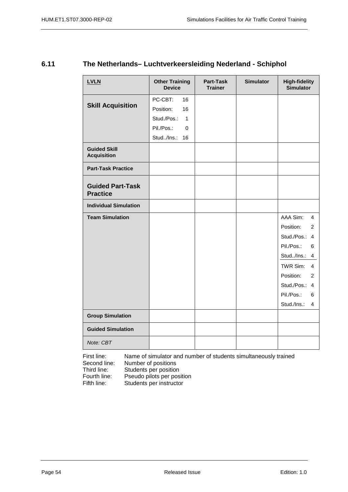# **6.11 The Netherlands– Luchtverkeersleiding Nederland - Schiphol**

| <b>LVLN</b>                                | <b>Other Training</b><br><b>Device</b>                          | <b>Part-Task</b><br><b>Trainer</b> | <b>Simulator</b> | <b>High-fidelity</b><br><b>Simulator</b>                                                                                                                                                                                                    |
|--------------------------------------------|-----------------------------------------------------------------|------------------------------------|------------------|---------------------------------------------------------------------------------------------------------------------------------------------------------------------------------------------------------------------------------------------|
| <b>Skill Acquisition</b>                   | PC-CBT:<br>16<br>Position:<br>16<br>Stud./Pos.:<br>$\mathbf{1}$ |                                    |                  |                                                                                                                                                                                                                                             |
|                                            | Pil./Pos.:<br>$\Omega$<br>Stud/Ins.: 16                         |                                    |                  |                                                                                                                                                                                                                                             |
| <b>Guided Skill</b><br><b>Acquisition</b>  |                                                                 |                                    |                  |                                                                                                                                                                                                                                             |
| <b>Part-Task Practice</b>                  |                                                                 |                                    |                  |                                                                                                                                                                                                                                             |
| <b>Guided Part-Task</b><br><b>Practice</b> |                                                                 |                                    |                  |                                                                                                                                                                                                                                             |
| <b>Individual Simulation</b>               |                                                                 |                                    |                  |                                                                                                                                                                                                                                             |
| <b>Team Simulation</b>                     |                                                                 |                                    |                  | AAA Sim:<br>4<br>Position:<br>2<br>Stud./Pos.:<br>$\overline{4}$<br>Pil./Pos.:<br>6<br>Stud/Ins.:<br>4<br>TWR Sim:<br>4<br>Position:<br>$\overline{2}$<br>Stud./Pos.:<br>$\overline{4}$<br>Pil./Pos.:<br>6<br>Stud./Ins.:<br>$\overline{4}$ |
| <b>Group Simulation</b>                    |                                                                 |                                    |                  |                                                                                                                                                                                                                                             |
| <b>Guided Simulation</b>                   |                                                                 |                                    |                  |                                                                                                                                                                                                                                             |
| Note: CBT                                  |                                                                 |                                    |                  |                                                                                                                                                                                                                                             |

First line: Name of simulator and number of students simultaneously trained<br>Second line: Number of positions Second line: Number of positions<br>Third line: Students per position Third line: Students per position<br>Fourth line: Pseudo pilots per pos Fourth line: Pseudo pilots per position<br>Fifth line: Students per instructor Students per instructor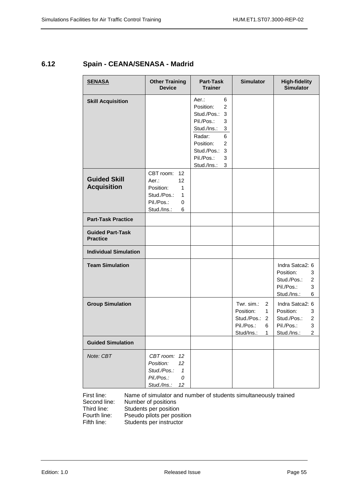# **6.12 Spain - CEANA/SENASA - Madrid**

| <b>SENASA</b>                              | <b>Other Training</b><br><b>Device</b>                                                                                        | Part-Task<br><b>Trainer</b>                                                                                                                                                                      | <b>Simulator</b>                                                                                                  | <b>High-fidelity</b><br><b>Simulator</b>                                                                  |
|--------------------------------------------|-------------------------------------------------------------------------------------------------------------------------------|--------------------------------------------------------------------------------------------------------------------------------------------------------------------------------------------------|-------------------------------------------------------------------------------------------------------------------|-----------------------------------------------------------------------------------------------------------|
| <b>Skill Acquisition</b>                   |                                                                                                                               | 6<br>Aer.:<br>Position:<br>$\overline{2}$<br>Stud./Pos.:<br>3<br>Pil./Pos.:<br>3<br>Stud./Ins.:<br>3<br>6<br>Radar:<br>Position:<br>2<br>Stud./Pos.:<br>3<br>Pil./Pos.:<br>3<br>Stud./Ins.:<br>3 |                                                                                                                   |                                                                                                           |
| <b>Guided Skill</b><br><b>Acquisition</b>  | CBT room:<br>12<br>Aer.:<br>12<br>Position:<br>1<br>Stud./Pos.:<br>$\mathbf{1}$<br>Pil./Pos.:<br>$\Omega$<br>Stud./Ins.:<br>6 |                                                                                                                                                                                                  |                                                                                                                   |                                                                                                           |
| <b>Part-Task Practice</b>                  |                                                                                                                               |                                                                                                                                                                                                  |                                                                                                                   |                                                                                                           |
| <b>Guided Part-Task</b><br><b>Practice</b> |                                                                                                                               |                                                                                                                                                                                                  |                                                                                                                   |                                                                                                           |
| <b>Individual Simulation</b>               |                                                                                                                               |                                                                                                                                                                                                  |                                                                                                                   |                                                                                                           |
| <b>Team Simulation</b>                     |                                                                                                                               |                                                                                                                                                                                                  |                                                                                                                   | Indra Satca2: 6<br>Position:<br>3<br>Stud./Pos.:<br>$\overline{2}$<br>Pil./Pos.:<br>3<br>Stud./Ins.:<br>6 |
| <b>Group Simulation</b>                    |                                                                                                                               |                                                                                                                                                                                                  | Twr. sim.:<br>2<br>Position:<br>$\mathbf{1}$<br>Stud./Pos.:<br>2<br>Pil./Pos.:<br>6<br>Stud/Ins.:<br>$\mathbf{1}$ | Indra Satca2: 6<br>Position:<br>3<br>Stud./Pos.:<br>$\overline{2}$<br>Pil./Pos.:<br>3<br>Stud./Ins.:<br>2 |
| <b>Guided Simulation</b>                   |                                                                                                                               |                                                                                                                                                                                                  |                                                                                                                   |                                                                                                           |
| Note: CBT                                  | CBT room: 12<br>Position:<br>12<br>Stud./Pos.:<br>1<br>Pil./Pos.:<br>0<br>Stud./Ins.:<br>12                                   |                                                                                                                                                                                                  |                                                                                                                   |                                                                                                           |

First line: Name of simulator and number of students simultaneously trained Second line: Number of positions Third line: Students per position Fourth line: Pseudo pilots per position<br>Fifth line: Students per instructor Students per instructor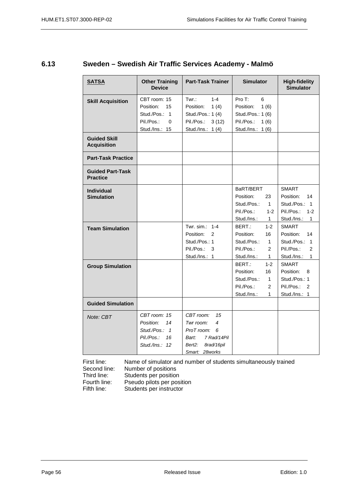# **6.13 Sweden – Swedish Air Traffic Services Academy - Malmö**

| <b>SATSA</b>                               | <b>Other Training</b><br><b>Device</b>                                                                       | <b>Part-Task Trainer</b>                                                                                                            | <b>Simulator</b>                                                                                                                   | <b>High-fidelity</b><br><b>Simulator</b>                                                                                      |
|--------------------------------------------|--------------------------------------------------------------------------------------------------------------|-------------------------------------------------------------------------------------------------------------------------------------|------------------------------------------------------------------------------------------------------------------------------------|-------------------------------------------------------------------------------------------------------------------------------|
| <b>Skill Acquisition</b>                   | CBT room: 15<br>Position:<br>15<br>Stud./Pos.:<br>$\overline{1}$<br>Pil./Pos.:<br>$\Omega$<br>Stud./Ins.: 15 | Twr.:<br>$1 - 4$<br>Position:<br>1(4)<br>Stud./Pos.: 1 (4)<br>Pil./Pos.:<br>3(12)<br>Stud./Ins.: 1 (4)                              | 6<br>Pro T:<br>Position:<br>1(6)<br>Stud./Pos.: 1 (6)<br>Pil./Pos.:<br>1(6)<br>Stud./Ins.: 1 (6)                                   |                                                                                                                               |
| <b>Guided Skill</b><br><b>Acquisition</b>  |                                                                                                              |                                                                                                                                     |                                                                                                                                    |                                                                                                                               |
| <b>Part-Task Practice</b>                  |                                                                                                              |                                                                                                                                     |                                                                                                                                    |                                                                                                                               |
| <b>Guided Part-Task</b><br><b>Practice</b> |                                                                                                              |                                                                                                                                     |                                                                                                                                    |                                                                                                                               |
| <b>Individual</b><br><b>Simulation</b>     |                                                                                                              |                                                                                                                                     | BaRT/BERT<br>Position:<br>23<br>Stud./Pos.:<br>$\mathbf{1}$<br>Pil./Pos.:<br>$1 - 2$<br>Stud./Ins.:<br>1                           | <b>SMART</b><br>Position:<br>14<br>Stud./Pos.: 1<br>Pil./Pos.:<br>$1 - 2$<br>Stud./Ins.:<br>1                                 |
| <b>Team Simulation</b>                     |                                                                                                              | Twr. sim.:<br>$1 - 4$<br>Position:<br>2<br>Stud./Pos.: 1<br>Pil./Pos.:<br>3<br>Stud./Ins.: 1                                        | BERT.:<br>$1 - 2$<br>Position:<br>16<br>Stud./Pos.:<br>$\mathbf{1}$<br>Pil./Pos.:<br>$\overline{2}$<br>Stud./Ins.:<br>$\mathbf{1}$ | <b>SMART</b><br>Position:<br>14<br>Stud./Pos.:<br>$\mathbf{1}$<br>Pil./Pos.:<br>$\overline{2}$<br>Stud./Ins.:<br>$\mathbf{1}$ |
| <b>Group Simulation</b>                    |                                                                                                              |                                                                                                                                     | BERT.:<br>$1 - 2$<br>Position:<br>16<br>Stud./Pos.:<br>$\mathbf{1}$<br>Pil./Pos.:<br>$\overline{2}$<br>Stud./Ins.:<br>$\mathbf{1}$ | <b>SMART</b><br>Position:<br>8<br>Stud./Pos.: 1<br>Pil./Pos.:<br>2<br>Stud./Ins.: 1                                           |
| <b>Guided Simulation</b>                   |                                                                                                              |                                                                                                                                     |                                                                                                                                    |                                                                                                                               |
| Note: CBT                                  | CBT room: 15<br>14<br>Position:<br>Stud./Pos.:<br>$\overline{1}$<br>Pil./Pos.:<br>16<br>Stud./Ins.: 12       | CBT room:<br>15<br>Twr room:<br>$\overline{4}$<br>ProT room:<br>6<br>7 Rad/14Pil<br>Bart:<br>Bert2:<br>8rad/16pil<br>Smart: 28works |                                                                                                                                    |                                                                                                                               |

First line: Name of simulator and number of students simultaneously trained<br>Second line: Number of positions Second line: Number of positions<br>Third line: Students per position Students per position

Fourth line: Pseudo pilots per position

Fifth line: Students per instructor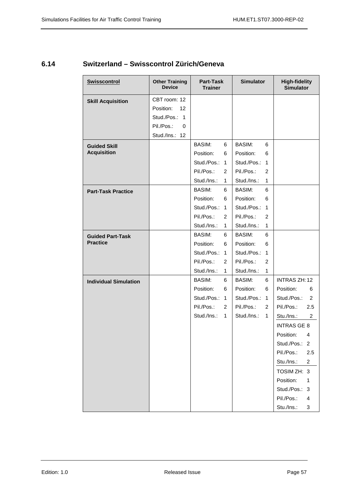# **6.14 Switzerland – Swisscontrol Zürich/Geneva**

| <b>Swisscontrol</b>                        | <b>Other Training</b><br><b>Device</b> | Part-Task<br><b>Trainer</b>                 | <b>Simulator</b>                 | <b>High-fidelity</b><br><b>Simulator</b> |
|--------------------------------------------|----------------------------------------|---------------------------------------------|----------------------------------|------------------------------------------|
| <b>Skill Acquisition</b>                   | CBT room: 12                           |                                             |                                  |                                          |
|                                            | Position:<br>12                        |                                             |                                  |                                          |
|                                            | Stud./Pos.: 1                          |                                             |                                  |                                          |
|                                            | Pil./Pos.:<br>$\Omega$                 |                                             |                                  |                                          |
|                                            | Stud./Ins.: 12                         |                                             |                                  |                                          |
| <b>Guided Skill</b><br><b>Acquisition</b>  |                                        | BASIM:<br>6                                 | BASIM:<br>6                      |                                          |
|                                            |                                        | Position:<br>6                              | Position:<br>6                   |                                          |
|                                            |                                        | Stud./Pos.:<br>$\mathbf{1}$                 | Stud./Pos.:<br>$\mathbf{1}$      |                                          |
|                                            |                                        | Pil./Pos.:<br>$\overline{2}$                | Pil./Pos.:<br>$\overline{2}$     |                                          |
|                                            |                                        | Stud./Ins.:<br>$\mathbf 1$                  | Stud./Ins.:<br>1                 |                                          |
| <b>Part-Task Practice</b>                  |                                        | BASIM:<br>6                                 | BASIM:<br>6                      |                                          |
|                                            |                                        | Position:<br>6                              | Position:<br>6                   |                                          |
|                                            |                                        | Stud./Pos.:<br>$\mathbf{1}$                 | Stud./Pos.:<br>$\mathbf{1}$<br>2 |                                          |
|                                            |                                        | Pil./Pos.:<br>$\overline{2}$<br>Stud./Ins.: | Pil./Pos.:                       |                                          |
|                                            |                                        | $\mathbf{1}$<br>BASIM:<br>6                 | Stud./Ins.:<br>1<br>BASIM:<br>6  |                                          |
| <b>Guided Part-Task</b><br><b>Practice</b> |                                        | Position:<br>6                              | Position:<br>6                   |                                          |
|                                            |                                        | Stud./Pos.:<br>$\mathbf 1$                  | Stud./Pos.:<br>$\mathbf{1}$      |                                          |
|                                            |                                        | Pil./Pos.:<br>$\overline{2}$                | Pil./Pos.:<br>2                  |                                          |
|                                            |                                        | Stud./Ins.:<br>1                            | Stud./Ins.:<br>$\mathbf{1}$      |                                          |
|                                            |                                        | BASIM:<br>6                                 | BASIM:<br>6                      | INTRAS ZH: 12                            |
| <b>Individual Simulation</b>               |                                        | Position:<br>6                              | Position:<br>6                   | Position:<br>6                           |
|                                            |                                        | Stud./Pos.:<br>1                            | Stud./Pos.:<br>$\mathbf{1}$      | Stud./Pos.:<br>2                         |
|                                            |                                        | Pil./Pos.:<br>$\overline{2}$                | Pil./Pos.:<br>$\overline{2}$     | Pil./Pos.:<br>2.5                        |
|                                            |                                        | Stud./Ins.:<br>1                            | Stud./Ins.:<br>$\mathbf{1}$      | Stu./Ins.:<br>2                          |
|                                            |                                        |                                             |                                  | <b>INTRAS GE 8</b>                       |
|                                            |                                        |                                             |                                  | Position: 4                              |
|                                            |                                        |                                             |                                  | Stud./Pos.:<br>2                         |
|                                            |                                        |                                             |                                  | Pil./Pos.:<br>2.5                        |
|                                            |                                        |                                             |                                  | Stu./Ins.:<br>2                          |
|                                            |                                        |                                             |                                  | TOSIM ZH: 3                              |
|                                            |                                        |                                             |                                  | Position:<br>1                           |
|                                            |                                        |                                             |                                  | Stud./Pos.:<br>3                         |
|                                            |                                        |                                             |                                  | Pil./Pos.:<br>4                          |
|                                            |                                        |                                             |                                  | Stu./Ins.:<br>3                          |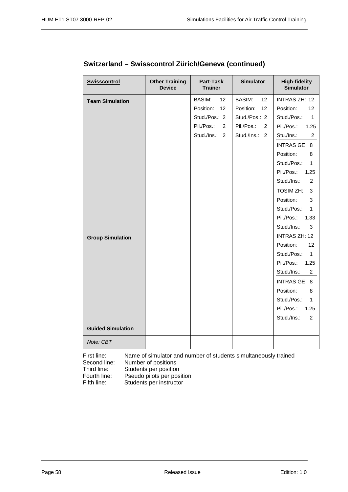| <b>Swisscontrol</b>      | <b>Other Training</b><br><b>Device</b> | Part-Task<br><b>Trainer</b>  | <b>Simulator</b>             | <b>High-fidelity</b><br><b>Simulator</b> |
|--------------------------|----------------------------------------|------------------------------|------------------------------|------------------------------------------|
| <b>Team Simulation</b>   |                                        | <b>BASIM:</b><br>12          | <b>BASIM:</b><br>12          | <b>INTRAS ZH: 12</b>                     |
|                          |                                        | Position:<br>12              | Position:<br>12              | Position:<br>12                          |
|                          |                                        | Stud./Pos.: 2                | Stud./Pos.: 2                | Stud./Pos.:<br>$\mathbf{1}$              |
|                          |                                        | Pil./Pos.:<br>$\overline{2}$ | Pil./Pos.:<br>$\overline{2}$ | Pil./Pos.:<br>1.25                       |
|                          |                                        | Stud./Ins.:<br>2             | Stud./Ins.: 2                | Stu./Ins.:<br>$\overline{2}$             |
|                          |                                        |                              |                              | <b>INTRAS GE</b><br>8                    |
|                          |                                        |                              |                              | Position:<br>8                           |
|                          |                                        |                              |                              | Stud./Pos.:<br>1                         |
|                          |                                        |                              |                              | Pil./Pos.:<br>1.25                       |
|                          |                                        |                              |                              | Stud./Ins.:<br>$\overline{c}$            |
|                          |                                        |                              |                              | 3<br><b>TOSIM ZH:</b>                    |
|                          |                                        |                              |                              | Position:<br>3                           |
|                          |                                        |                              |                              | Stud./Pos.:<br>$\mathbf{1}$              |
|                          |                                        |                              |                              | Pil./Pos.:<br>1.33                       |
|                          |                                        |                              |                              | Stud./Ins.:<br>3                         |
| <b>Group Simulation</b>  |                                        |                              |                              | <b>INTRAS ZH: 12</b>                     |
|                          |                                        |                              |                              | Position:<br>12                          |
|                          |                                        |                              |                              | Stud./Pos.:<br>1                         |
|                          |                                        |                              |                              | Pil./Pos.:<br>1.25                       |
|                          |                                        |                              |                              | Stud./Ins.:<br>$\overline{a}$            |
|                          |                                        |                              |                              | <b>INTRAS GE</b><br>8                    |
|                          |                                        |                              |                              | Position:<br>8                           |
|                          |                                        |                              |                              | Stud./Pos.:<br>1                         |
|                          |                                        |                              |                              | Pil./Pos.:<br>1.25                       |
|                          |                                        |                              |                              | Stud./Ins.:<br>$\overline{2}$            |
| <b>Guided Simulation</b> |                                        |                              |                              |                                          |
| Note: CBT                |                                        |                              |                              |                                          |

# **Switzerland – Swisscontrol Zürich/Geneva (continued)**

First line: Name of simulator and number of students simultaneously trained<br>Second line: Number of positions Second line: Number of positions<br>Third line: Students per position Third line: Students per position Fourth line: Pseudo pilots per position Fifth line: Students per instructor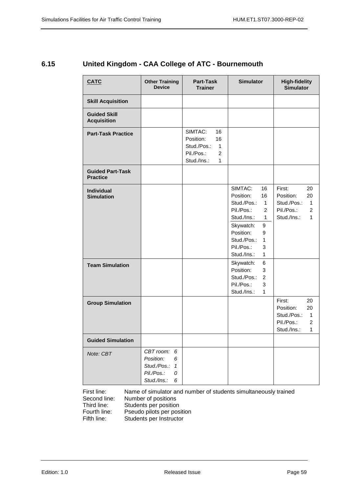# **6.15 United Kingdom - CAA College of ATC - Bournemouth**

| <b>CATC</b>                                               | <b>Other Training</b><br><b>Device</b>                                                              | Part-Task<br><b>Trainer</b>                                                                                         | <b>Simulator</b>                                                                                                                                                                                                                          | <b>High-fidelity</b><br><b>Simulator</b>                                                                           |
|-----------------------------------------------------------|-----------------------------------------------------------------------------------------------------|---------------------------------------------------------------------------------------------------------------------|-------------------------------------------------------------------------------------------------------------------------------------------------------------------------------------------------------------------------------------------|--------------------------------------------------------------------------------------------------------------------|
| <b>Skill Acquisition</b>                                  |                                                                                                     |                                                                                                                     |                                                                                                                                                                                                                                           |                                                                                                                    |
| <b>Guided Skill</b><br><b>Acquisition</b>                 |                                                                                                     |                                                                                                                     |                                                                                                                                                                                                                                           |                                                                                                                    |
| <b>Part-Task Practice</b>                                 |                                                                                                     | SIMTAC:<br>16<br>Position:<br>16<br>Stud./Pos.:<br>$\mathbf{1}$<br>Pil./Pos.:<br>$\overline{2}$<br>Stud./Ins.:<br>1 |                                                                                                                                                                                                                                           |                                                                                                                    |
| <b>Guided Part-Task</b><br><b>Practice</b>                |                                                                                                     |                                                                                                                     |                                                                                                                                                                                                                                           |                                                                                                                    |
| Individual<br><b>Simulation</b><br><b>Team Simulation</b> |                                                                                                     |                                                                                                                     | SIMTAC:<br>16<br>Position:<br>16<br>Stud./Pos.:<br>$\mathbf{1}$<br>Pil./Pos.:<br>2<br>Stud./Ins.:<br>1<br>9<br>Skywatch:<br>Position:<br>9<br>Stud./Pos.:<br>1<br>Pil./Pos.:<br>3<br>Stud./Ins.:<br>1<br>6<br>Skywatch:<br>Position:<br>3 | First:<br>20<br>Position:<br>20<br>Stud./Pos.:<br>1<br>Pil./Pos.:<br>$\overline{2}$<br>Stud./Ins.:<br>$\mathbf{1}$ |
|                                                           |                                                                                                     |                                                                                                                     | Stud./Pos.:<br>$\overline{2}$<br>Pil./Pos.:<br>3<br>Stud./Ins.:<br>$\mathbf{1}$                                                                                                                                                           |                                                                                                                    |
| <b>Group Simulation</b>                                   |                                                                                                     |                                                                                                                     |                                                                                                                                                                                                                                           | First:<br>20<br>Position:<br>20<br>Stud./Pos.:<br>1<br>Pil./Pos.:<br>$\overline{2}$<br>Stud./Ins.:<br>1            |
| <b>Guided Simulation</b>                                  |                                                                                                     |                                                                                                                     |                                                                                                                                                                                                                                           |                                                                                                                    |
| Note: CBT                                                 | CBT room: 6<br>Position:<br>6<br>Stud./Pos.:<br>$\mathbf{1}$<br>Pil./Pos.:<br>0<br>Stud./Ins.:<br>6 |                                                                                                                     |                                                                                                                                                                                                                                           |                                                                                                                    |

First line: Name of simulator and number of students simultaneously trained<br>Second line: Number of positions Number of positions

Third line: Students per position

Fourth line: Pseudo pilots per position<br>Fifth line: Students per Instructor Students per Instructor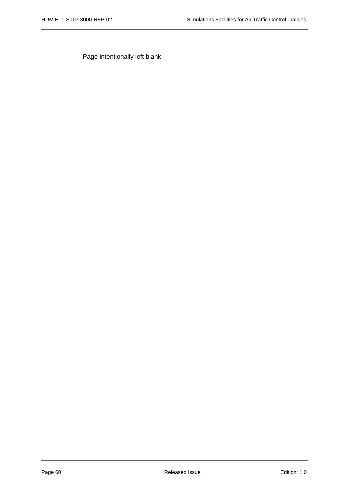Page intentionally left blank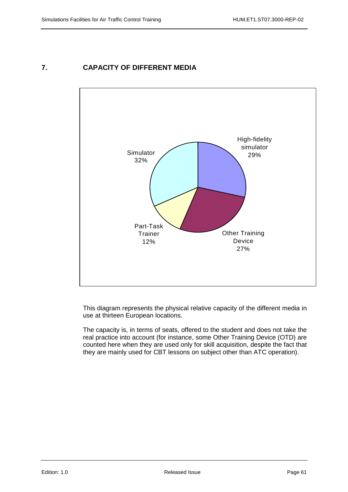# **7. CAPACITY OF DIFFERENT MEDIA**



This diagram represents the physical relative capacity of the different media in use at thirteen European locations.

The capacity is, in terms of seats, offered to the student and does not take the real practice into account (for instance, some Other Training Device (OTD) are counted here when they are used only for skill acquisition, despite the fact that they are mainly used for CBT lessons on subject other than ATC operation).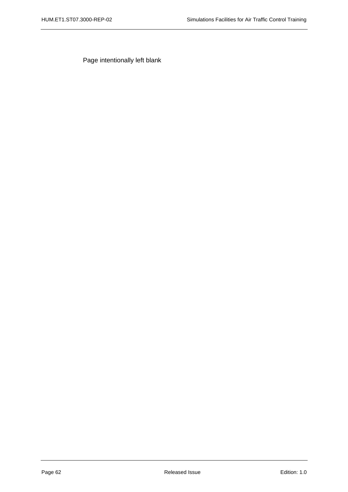Page intentionally left blank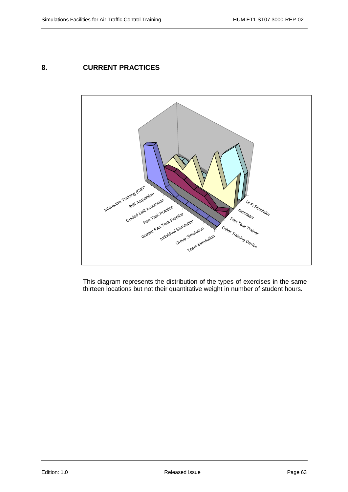# **8. CURRENT PRACTICES**



This diagram represents the distribution of the types of exercises in the same thirteen locations but not their quantitative weight in number of student hours.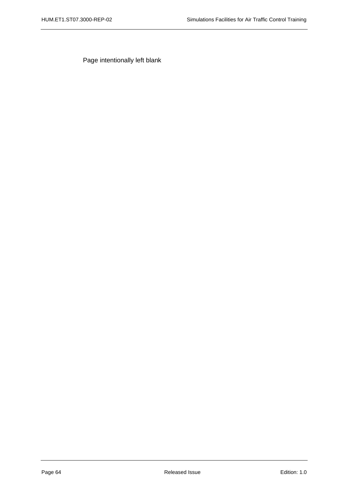Page intentionally left blank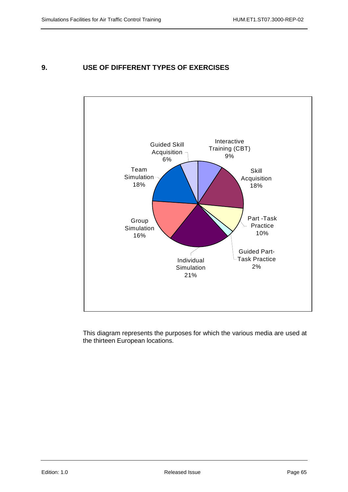# **9. USE OF DIFFERENT TYPES OF EXERCISES**



This diagram represents the purposes for which the various media are used at the thirteen European locations.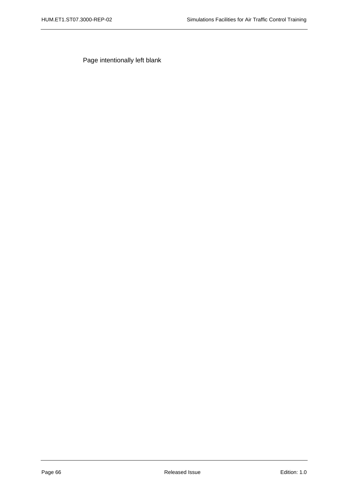Page intentionally left blank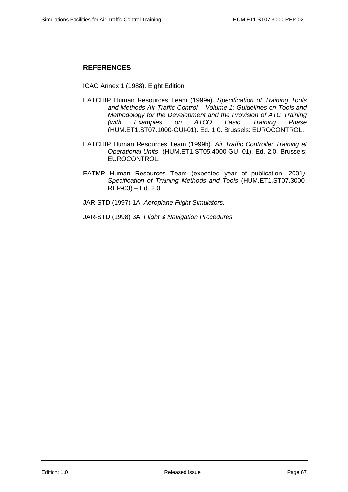#### **REFERENCES**

ICAO Annex 1 (1988). Eight Edition.

- EATCHIP Human Resources Team (1999a). *Specification of Training Tools and Methods Air Traffic Control – Volume 1: Guidelines on Tools and Methodology for the Development and the Provision of ATC Training (with Examples on ATCO Basic Training Phase* (HUM.ET1.ST07.1000-GUI-01). Ed. 1.0. Brussels: EUROCONTROL.
- EATCHIP Human Resources Team (1999b). *Air Traffic Controller Training at Operational Units* (HUM.ET1.ST05.4000-GUI-01). Ed. 2.0. Brussels: EUROCONTROL.
- EATMP Human Resources Team (expected year of publication: 2001*). Specification of Training Methods and Tools* (HUM.ET1.ST07.3000- REP-03) – Ed. 2.0.

JAR-STD (1997) 1A, *Aeroplane Flight Simulators.*

JAR-STD (1998) 3A, *Flight & Navigation Procedures.*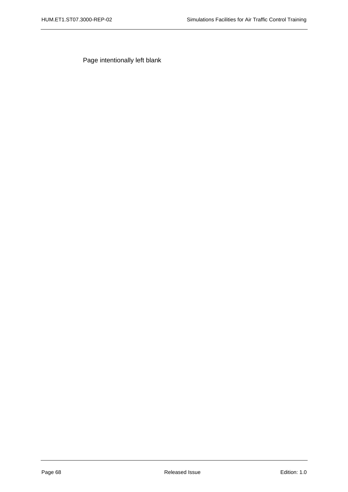Page intentionally left blank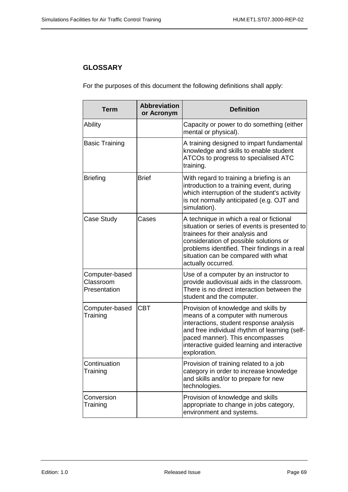## **GLOSSARY**

For the purposes of this document the following definitions shall apply:

| Term                                        | <b>Abbreviation</b><br>or Acronym | <b>Definition</b>                                                                                                                                                                                                                                                                    |
|---------------------------------------------|-----------------------------------|--------------------------------------------------------------------------------------------------------------------------------------------------------------------------------------------------------------------------------------------------------------------------------------|
| Ability                                     |                                   | Capacity or power to do something (either<br>mental or physical).                                                                                                                                                                                                                    |
| <b>Basic Training</b>                       |                                   | A training designed to impart fundamental<br>knowledge and skills to enable student<br>ATCOs to progress to specialised ATC<br>training.                                                                                                                                             |
| <b>Briefing</b>                             | <b>Brief</b>                      | With regard to training a briefing is an<br>introduction to a training event, during<br>which interruption of the student's activity<br>is not normally anticipated (e.g. OJT and<br>simulation).                                                                                    |
| Case Study                                  | Cases                             | A technique in which a real or fictional<br>situation or series of events is presented to<br>trainees for their analysis and<br>consideration of possible solutions or<br>problems identified. Their findings in a real<br>situation can be compared with what<br>actually occurred. |
| Computer-based<br>Classroom<br>Presentation |                                   | Use of a computer by an instructor to<br>provide audiovisual aids in the classroom.<br>There is no direct interaction between the<br>student and the computer.                                                                                                                       |
| Computer-based<br>Training                  | <b>CBT</b>                        | Provision of knowledge and skills by<br>means of a computer with numerous<br>interactions, student response analysis<br>and free individual rhythm of learning (self-<br>paced manner). This encompasses<br>interactive guided learning and interactive<br>exploration.              |
| Continuation<br>Training                    |                                   | Provision of training related to a job<br>category in order to increase knowledge<br>and skills and/or to prepare for new<br>technologies.                                                                                                                                           |
| Conversion<br>Training                      |                                   | Provision of knowledge and skills<br>appropriate to change in jobs category,<br>environment and systems.                                                                                                                                                                             |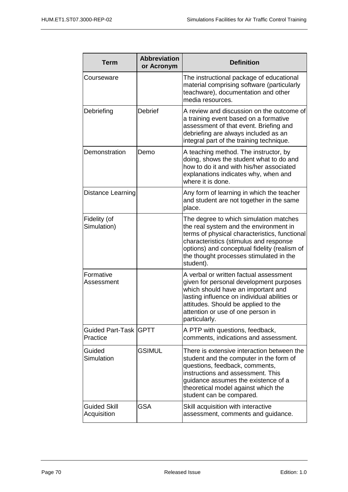| <b>Term</b>                       | <b>Abbreviation</b><br>or Acronym | <b>Definition</b>                                                                                                                                                                                                                                                                   |
|-----------------------------------|-----------------------------------|-------------------------------------------------------------------------------------------------------------------------------------------------------------------------------------------------------------------------------------------------------------------------------------|
| Courseware                        |                                   | The instructional package of educational<br>material comprising software (particularly<br>teachware), documentation and other<br>media resources.                                                                                                                                   |
| Debriefing                        | Debrief                           | A review and discussion on the outcome of<br>a training event based on a formative<br>assessment of that event. Briefing and<br>debriefing are always included as an<br>integral part of the training technique.                                                                    |
| Demonstration                     | Demo                              | A teaching method. The instructor, by<br>doing, shows the student what to do and<br>how to do it and with his/her associated<br>explanations indicates why, when and<br>where it is done.                                                                                           |
| Distance Learning                 |                                   | Any form of learning in which the teacher<br>and student are not together in the same<br>place.                                                                                                                                                                                     |
| Fidelity (of<br>Simulation)       |                                   | The degree to which simulation matches<br>the real system and the environment in<br>terms of physical characteristics, functional<br>characteristics (stimulus and response<br>options) and conceptual fidelity (realism of<br>the thought processes stimulated in the<br>student). |
| Formative<br>Assessment           |                                   | A verbal or written factual assessment<br>given for personal development purposes<br>which should have an important and<br>lasting influence on individual abilities or<br>attitudes. Should be applied to the<br>attention or use of one person in<br>particularly.                |
| Guided Part-Task GPTT<br>Practice |                                   | A PTP with questions, feedback,<br>comments, indications and assessment.                                                                                                                                                                                                            |
| Guided<br>Simulation              | <b>GSIMUL</b>                     | There is extensive interaction between the<br>student and the computer in the form of<br>questions, feedback, comments,<br>instructions and assessment. This<br>guidance assumes the existence of a<br>theoretical model against which the<br>student can be compared.              |
| Guided Skill<br>Acquisition       | GSA                               | Skill acquisition with interactive<br>assessment, comments and guidance.                                                                                                                                                                                                            |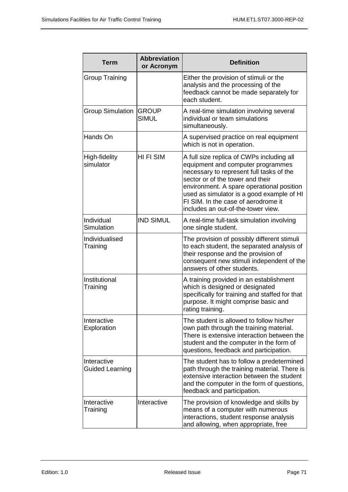| <b>Term</b>                           | <b>Abbreviation</b><br>or Acronym | <b>Definition</b>                                                                                                                                                                                                                                                                                                                     |  |
|---------------------------------------|-----------------------------------|---------------------------------------------------------------------------------------------------------------------------------------------------------------------------------------------------------------------------------------------------------------------------------------------------------------------------------------|--|
| <b>Group Training</b>                 |                                   | Either the provision of stimuli or the<br>analysis and the processing of the<br>feedback cannot be made separately for<br>each student.                                                                                                                                                                                               |  |
| <b>Group Simulation</b>               | <b>GROUP</b><br><b>SIMUL</b>      | A real-time simulation involving several<br>individual or team simulations<br>simultaneously.                                                                                                                                                                                                                                         |  |
| Hands On                              |                                   | A supervised practice on real equipment<br>which is not in operation.                                                                                                                                                                                                                                                                 |  |
| <b>High-fidelity</b><br>simulator     | HI FI SIM                         | A full size replica of CWPs including all<br>equipment and computer programmes<br>necessary to represent full tasks of the<br>sector or of the tower and their<br>environment. A spare operational position<br>used as simulator is a good example of HI<br>FI SIM. In the case of aerodrome it<br>includes an out-of-the-tower view. |  |
| Individual<br>Simulation              | <b>IND SIMUL</b>                  | A real-time full-task simulation involving<br>one single student.                                                                                                                                                                                                                                                                     |  |
| Individualised<br>Training            |                                   | The provision of possibly different stimuli<br>to each student, the separated analysis of<br>their response and the provision of<br>consequent new stimuli independent of the<br>answers of other students.                                                                                                                           |  |
| Institutional<br>Training             |                                   | A training provided in an establishment<br>which is designed or designated<br>specifically for training and staffed for that<br>purpose. It might comprise basic and<br>rating training.                                                                                                                                              |  |
| Interactive<br>Exploration            |                                   | The student is allowed to follow his/her<br>own path through the training material.<br>There is extensive interaction between the<br>student and the computer in the form of<br>questions, feedback and participation.                                                                                                                |  |
| Interactive<br><b>Guided Learning</b> |                                   | The student has to follow a predetermined<br>path through the training material. There is<br>extensive interaction between the student<br>and the computer in the form of questions,<br>feedback and participation.                                                                                                                   |  |
| Interactive<br>Training               | Interactive                       | The provision of knowledge and skills by<br>means of a computer with numerous<br>interactions, student response analysis<br>and allowing, when appropriate, free                                                                                                                                                                      |  |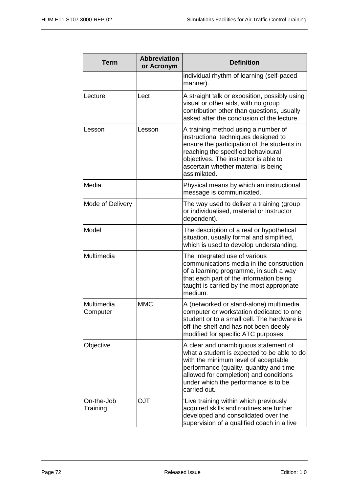| Term                   | <b>Abbreviation</b><br>or Acronym | <b>Definition</b>                                                                                                                                                                                                                                                        |
|------------------------|-----------------------------------|--------------------------------------------------------------------------------------------------------------------------------------------------------------------------------------------------------------------------------------------------------------------------|
|                        |                                   | individual rhythm of learning (self-paced<br>manner).                                                                                                                                                                                                                    |
| Lecture                | Lect                              | A straight talk or exposition, possibly using<br>visual or other aids, with no group<br>contribution other than questions, usually<br>asked after the conclusion of the lecture.                                                                                         |
| lLesson                | Lesson                            | A training method using a number of<br>instructional techniques designed to<br>ensure the participation of the students in<br>reaching the specified behavioural<br>objectives. The instructor is able to<br>ascertain whether material is being<br>assimilated.         |
| Media                  |                                   | Physical means by which an instructional<br>message is communicated.                                                                                                                                                                                                     |
| Mode of Delivery       |                                   | The way used to deliver a training (group<br>or individualised, material or instructor<br>dependent).                                                                                                                                                                    |
| Model                  |                                   | The description of a real or hypothetical<br>situation, usually formal and simplified,<br>which is used to develop understanding.                                                                                                                                        |
| Multimedia             |                                   | The integrated use of various<br>communications media in the construction<br>of a learning programme, in such a way<br>that each part of the information being<br>taught is carried by the most appropriate<br>medium.                                                   |
| Multimedia<br>Computer | <b>MMC</b>                        | A (networked or stand-alone) multimedia<br>computer or workstation dedicated to one<br>student or to a small cell. The hardware is<br>off-the-shelf and has not been deeply<br>modified for specific ATC purposes.                                                       |
| Objective              |                                   | A clear and unambiguous statement of<br>what a student is expected to be able to do<br>with the minimum level of acceptable<br>performance (quality, quantity and time<br>allowed for completion) and conditions<br>under which the performance is to be<br>carried out. |
| On-the-Job<br>Training | <b>OJT</b>                        | 'Live training within which previously<br>acquired skills and routines are further<br>developed and consolidated over the<br>supervision of a qualified coach in a live                                                                                                  |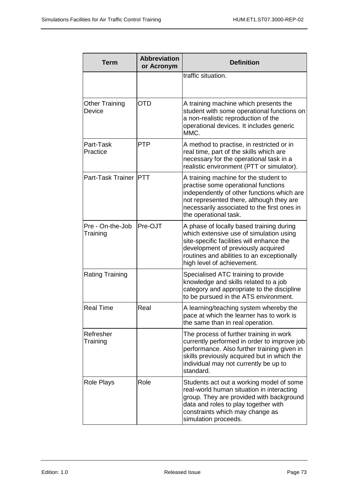| <b>Term</b>                     | <b>Abbreviation</b><br>or Acronym | <b>Definition</b>                                                                                                                                                                                                                                  |
|---------------------------------|-----------------------------------|----------------------------------------------------------------------------------------------------------------------------------------------------------------------------------------------------------------------------------------------------|
|                                 |                                   | traffic situation.                                                                                                                                                                                                                                 |
| <b>Other Training</b><br>Device | <b>OTD</b>                        | A training machine which presents the<br>student with some operational functions on<br>a non-realistic reproduction of the<br>operational devices. It includes generic<br>MMC.                                                                     |
| Part-Task<br>Practice           | <b>PTP</b>                        | A method to practise, in restricted or in<br>real time, part of the skills which are<br>necessary for the operational task in a<br>realistic environment (PTT or simulator).                                                                       |
| Part-Task Trainer PTT           |                                   | A training machine for the student to<br>practise some operational functions<br>independently of other functions which are<br>not represented there, although they are<br>necessarily associated to the first ones in<br>the operational task.     |
| Pre - On-the-Job<br>Training    | Pre-OJT                           | A phase of locally based training during<br>which extensive use of simulation using<br>site-specific facilities will enhance the<br>development of previously acquired<br>routines and abilities to an exceptionally<br>high level of achievement. |
| <b>Rating Training</b>          |                                   | Specialised ATC training to provide<br>knowledge and skills related to a job<br>category and appropriate to the discipline<br>to be pursued in the ATS environment.                                                                                |
| <b>Real Time</b>                | Real                              | A learning/teaching system whereby the<br>pace at which the learner has to work is<br>the same than in real operation.                                                                                                                             |
| Refresher<br>Training           |                                   | The process of further training in work<br>currently performed in order to improve job<br>performance. Also further training given in<br>skills previously acquired but in which the<br>individual may not currently be up to<br>standard.         |
| <b>Role Plays</b>               | Role                              | Students act out a working model of some<br>real-world human situation in interacting<br>group. They are provided with background<br>data and roles to play together with<br>constraints which may change as<br>simulation proceeds.               |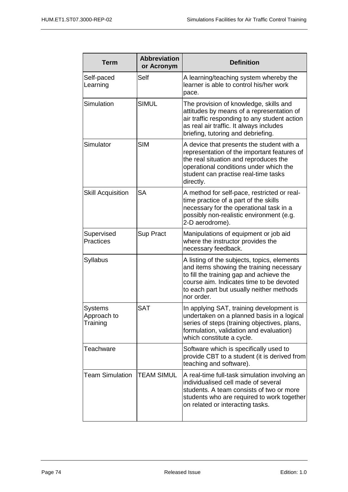| <b>Term</b>                               | <b>Abbreviation</b><br>or Acronym | <b>Definition</b>                                                                                                                                                                                                                         |
|-------------------------------------------|-----------------------------------|-------------------------------------------------------------------------------------------------------------------------------------------------------------------------------------------------------------------------------------------|
| Self-paced<br>Learning                    | Self                              | A learning/teaching system whereby the<br>learner is able to control his/her work<br>pace.                                                                                                                                                |
| Simulation                                | <b>SIMUL</b>                      | The provision of knowledge, skills and<br>attitudes by means of a representation of<br>air traffic responding to any student action<br>as real air traffic. It always includes<br>briefing, tutoring and debriefing.                      |
| Simulator                                 | <b>SIM</b>                        | A device that presents the student with a<br>representation of the important features of<br>the real situation and reproduces the<br>operational conditions under which the<br>student can practise real-time tasks<br>directly.          |
| <b>Skill Acquisition</b>                  | <b>SA</b>                         | A method for self-pace, restricted or real-<br>time practice of a part of the skills<br>necessary for the operational task in a<br>possibly non-realistic environment (e.g.<br>2-D aerodrome).                                            |
| Supervised<br><b>Practices</b>            | Sup Pract                         | Manipulations of equipment or job aid<br>where the instructor provides the<br>necessary feedback.                                                                                                                                         |
| <b>Syllabus</b>                           |                                   | A listing of the subjects, topics, elements<br>and items showing the training necessary<br>to fill the training gap and achieve the<br>course aim. Indicates time to be devoted<br>to each part but usually neither methods<br>nor order. |
| <b>Systems</b><br>Approach to<br>Training | <b>SAT</b>                        | In applying SAT, training development is<br>undertaken on a planned basis in a logical<br>series of steps (training objectives, plans,<br>formulation, validation and evaluation)<br>which constitute a cycle.                            |
| Teachware                                 |                                   | Software which is specifically used to<br>provide CBT to a student (it is derived from<br>teaching and software).                                                                                                                         |
| <b>Team Simulation</b>                    | <b>TEAM SIMUL</b>                 | A real-time full-task simulation involving an<br>individualised cell made of several<br>students. A team consists of two or more<br>students who are required to work together<br>on related or interacting tasks.                        |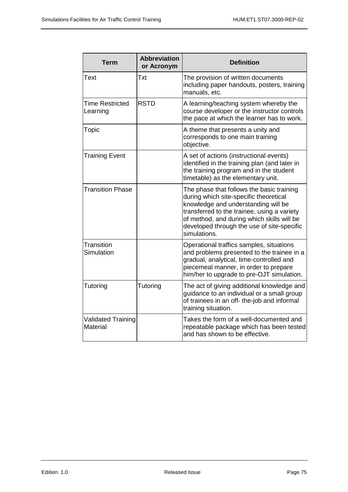| <b>Term</b>                           | <b>Abbreviation</b><br>or Acronym | <b>Definition</b>                                                                                                                                                                                                                                                                     |
|---------------------------------------|-----------------------------------|---------------------------------------------------------------------------------------------------------------------------------------------------------------------------------------------------------------------------------------------------------------------------------------|
| Text                                  | Txt                               | The provision of written documents<br>including paper handouts, posters, training<br>manuals, etc.                                                                                                                                                                                    |
| <b>Time Restricted</b><br>Learning    | <b>RSTD</b>                       | A learning/teaching system whereby the<br>course developer or the instructor controls<br>the pace at which the learner has to work.                                                                                                                                                   |
| Topic                                 |                                   | A theme that presents a unity and<br>corresponds to one main training<br>objective.                                                                                                                                                                                                   |
| <b>Training Event</b>                 |                                   | A set of actions (instructional events)<br>identified in the training plan (and later in<br>the training program and in the student<br>timetable) as the elementary unit.                                                                                                             |
| <b>Transition Phase</b>               |                                   | The phase that follows the basic training<br>during which site-specific theoretical<br>knowledge and understanding will be<br>transferred to the trainee, using a variety<br>of method, and during which skills will be<br>developed through the use of site-specific<br>simulations. |
| Transition<br>Simulation              |                                   | Operational traffics samples, situations<br>and problems presented to the trainee in a<br>gradual, analytical, time-controlled and<br>piecemeal manner, in order to prepare<br>him/her to upgrade to pre-OJT simulation.                                                              |
| Tutoring                              | Tutoring                          | The act of giving additional knowledge and<br>guidance to an individual or a small group<br>of trainees in an off- the-job and informal<br>training situation.                                                                                                                        |
| <b>Validated Training</b><br>Material |                                   | Takes the form of a well-documented and<br>repeatable package which has been tested<br>and has shown to be effective.                                                                                                                                                                 |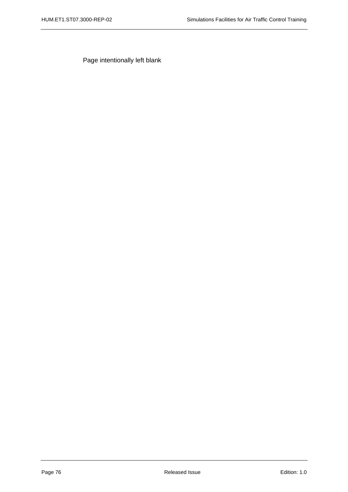Page intentionally left blank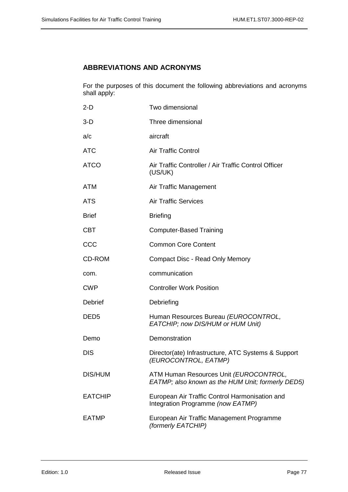# **ABBREVIATIONS AND ACRONYMS**

For the purposes of this document the following abbreviations and acronyms shall apply:

| 2-D              | Two dimensional                                                                             |  |  |
|------------------|---------------------------------------------------------------------------------------------|--|--|
| 3-D              | Three dimensional                                                                           |  |  |
| a/c              | aircraft                                                                                    |  |  |
| <b>ATC</b>       | <b>Air Traffic Control</b>                                                                  |  |  |
| ATCO             | Air Traffic Controller / Air Traffic Control Officer<br>(US/UK)                             |  |  |
| ATM              | Air Traffic Management                                                                      |  |  |
| ATS              | <b>Air Traffic Services</b>                                                                 |  |  |
| <b>Brief</b>     | <b>Briefing</b>                                                                             |  |  |
| CBT              | <b>Computer-Based Training</b>                                                              |  |  |
| CCC              | <b>Common Core Content</b>                                                                  |  |  |
| <b>CD-ROM</b>    | <b>Compact Disc - Read Only Memory</b>                                                      |  |  |
| com.             | communication                                                                               |  |  |
| <b>CWP</b>       | <b>Controller Work Position</b>                                                             |  |  |
| Debrief          | Debriefing                                                                                  |  |  |
| DED <sub>5</sub> | Human Resources Bureau (EUROCONTROL,<br>EATCHIP; now DIS/HUM or HUM Unit)                   |  |  |
| Demo             | Demonstration                                                                               |  |  |
| <b>DIS</b>       | Director(ate) Infrastructure, ATC Systems & Support<br>(EUROCONTROL, EATMP)                 |  |  |
| DIS/HUM          | ATM Human Resources Unit (EUROCONTROL,<br>EATMP; also known as the HUM Unit; formerly DED5) |  |  |
| <b>EATCHIP</b>   | European Air Traffic Control Harmonisation and<br>Integration Programme (now EATMP)         |  |  |
| <b>EATMP</b>     | European Air Traffic Management Programme<br>(formerly EATCHIP)                             |  |  |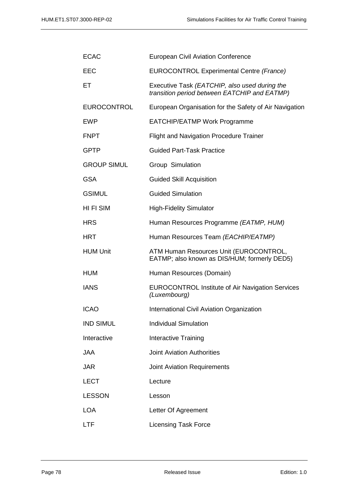| <b>ECAC</b>        | <b>European Civil Aviation Conference</b>                                                     |
|--------------------|-----------------------------------------------------------------------------------------------|
| EEC                | <b>EUROCONTROL Experimental Centre (France)</b>                                               |
| EТ                 | Executive Task (EATCHIP, also used during the<br>transition period between EATCHIP and EATMP) |
| <b>EUROCONTROL</b> | European Organisation for the Safety of Air Navigation                                        |
| EWP                | <b>EATCHIP/EATMP Work Programme</b>                                                           |
| FNPT               | <b>Flight and Navigation Procedure Trainer</b>                                                |
| GPTP               | <b>Guided Part-Task Practice</b>                                                              |
| <b>GROUP SIMUL</b> | Group Simulation                                                                              |
| GSA                | <b>Guided Skill Acquisition</b>                                                               |
| <b>GSIMUL</b>      | <b>Guided Simulation</b>                                                                      |
| HI FI SIM          | <b>High-Fidelity Simulator</b>                                                                |
| HRS                | Human Resources Programme (EATMP, HUM)                                                        |
| HRT                | Human Resources Team (EACHIP/EATMP)                                                           |
| <b>HUM Unit</b>    | ATM Human Resources Unit (EUROCONTROL,<br>EATMP; also known as DIS/HUM; formerly DED5)        |
| HUM                | Human Resources (Domain)                                                                      |
| <b>IANS</b>        | <b>EUROCONTROL Institute of Air Navigation Services</b><br>(Luxembourg)                       |
| <b>ICAO</b>        | <b>International Civil Aviation Organization</b>                                              |
| <b>IND SIMUL</b>   | <b>Individual Simulation</b>                                                                  |
| Interactive        | <b>Interactive Training</b>                                                                   |
| JAA                | <b>Joint Aviation Authorities</b>                                                             |
| JAR                | <b>Joint Aviation Requirements</b>                                                            |
| LECT               | Lecture                                                                                       |
| <b>LESSON</b>      | Lesson                                                                                        |
| LOA                | Letter Of Agreement                                                                           |
| LTF                | <b>Licensing Task Force</b>                                                                   |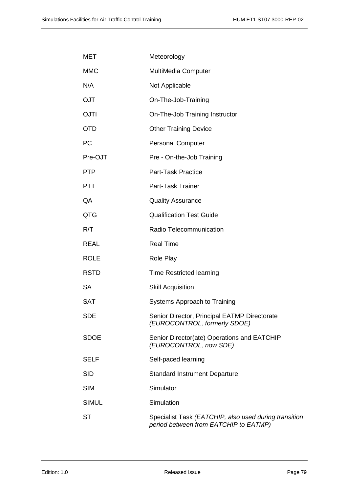| <b>MET</b>   | Meteorology                                                                                    |
|--------------|------------------------------------------------------------------------------------------------|
| <b>MMC</b>   | MultiMedia Computer                                                                            |
| N/A          | Not Applicable                                                                                 |
| <b>OJT</b>   | On-The-Job-Training                                                                            |
| <b>OJTI</b>  | On-The-Job Training Instructor                                                                 |
| <b>OTD</b>   | <b>Other Training Device</b>                                                                   |
| PC           | <b>Personal Computer</b>                                                                       |
| Pre-OJT      | Pre - On-the-Job Training                                                                      |
| <b>PTP</b>   | <b>Part-Task Practice</b>                                                                      |
| <b>PTT</b>   | Part-Task Trainer                                                                              |
| QA           | <b>Quality Assurance</b>                                                                       |
| <b>QTG</b>   | <b>Qualification Test Guide</b>                                                                |
| R/T          | Radio Telecommunication                                                                        |
| <b>REAL</b>  | <b>Real Time</b>                                                                               |
| <b>ROLE</b>  | <b>Role Play</b>                                                                               |
| <b>RSTD</b>  | <b>Time Restricted learning</b>                                                                |
| <b>SA</b>    | <b>Skill Acquisition</b>                                                                       |
| <b>SAT</b>   | Systems Approach to Training                                                                   |
| <b>SDE</b>   | Senior Director, Principal EATMP Directorate<br>(EUROCONTROL, formerly SDOE)                   |
| <b>SDOE</b>  | Senior Director(ate) Operations and EATCHIP<br>(EUROCONTROL, now SDE)                          |
| <b>SELF</b>  | Self-paced learning                                                                            |
| <b>SID</b>   | <b>Standard Instrument Departure</b>                                                           |
| <b>SIM</b>   | Simulator                                                                                      |
| <b>SIMUL</b> | Simulation                                                                                     |
| <b>ST</b>    | Specialist Task (EATCHIP, also used during transition<br>period between from EATCHIP to EATMP) |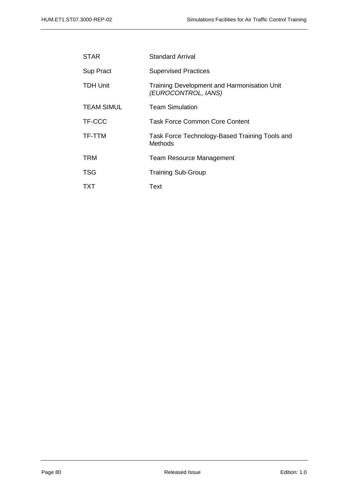| <b>STAR</b>       | <b>Standard Arrival</b>                                            |
|-------------------|--------------------------------------------------------------------|
| Sup Pract         | <b>Supervised Practices</b>                                        |
| <b>TDH Unit</b>   | Training Development and Harmonisation Unit<br>(EUROCONTROL, IANS) |
| <b>TEAM SIMUL</b> | <b>Team Simulation</b>                                             |
| TF-CCC            | <b>Task Force Common Core Content</b>                              |
| TF-TTM            | Task Force Technology-Based Training Tools and<br>Methods          |
| TRM               | <b>Team Resource Management</b>                                    |
| <b>TSG</b>        | <b>Training Sub-Group</b>                                          |
| TXT               | Text                                                               |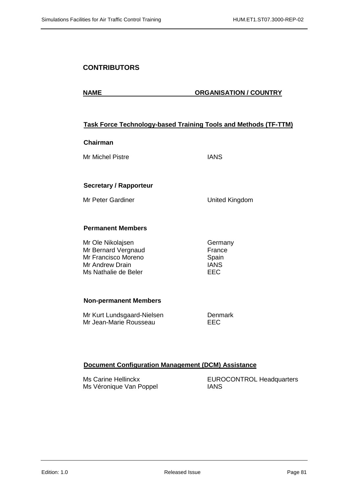### **CONTRIBUTORS**

#### **NAME** ORGANISATION / COUNTRY

#### **Task Force Technology-based Training Tools and Methods (TF-TTM)**

#### **Chairman**

Mr Michel Pistre **IANS** 

#### **Secretary / Rapporteur**

Mr Peter Gardiner **Mr Peter Gardiner** Music Controller United Kingdom

#### **Permanent Members**

| Mr Ole Nikolajsen    | Germany     |
|----------------------|-------------|
| Mr Bernard Vergnaud  | France      |
| Mr Francisco Moreno  | Spain       |
| Mr Andrew Drain      | <b>IANS</b> |
| Ms Nathalie de Beler | FFC.        |

#### **Non-permanent Members**

Mr Kurt Lundsgaard-Nielsen Denmark<br>Mr Jean-Marie Rousseau BEC Mr Jean-Marie Rousseau

**Document Configuration Management (DCM) Assistance**

Ms Véronique Van Poppel **IANS** 

Ms Carine Hellinckx **EUROCONTROL Headquarters**